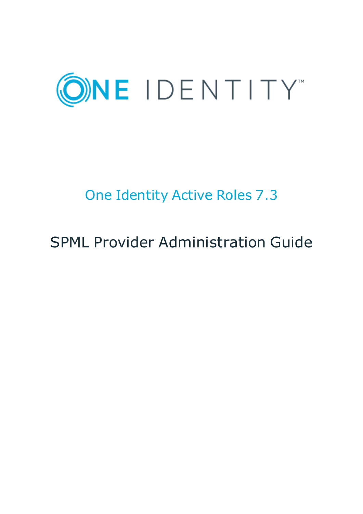

# One Identity Active Roles 7.3

# SPML Provider Administration Guide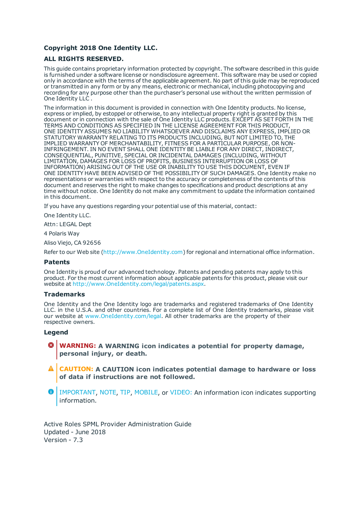#### **Copyright 2018 One Identity LLC.**

#### **ALL RIGHTS RESERVED.**

This guide contains proprietary information protected by copyright. The software described in this guide is furnished under a software license or nondisclosure agreement. This software may be used or copied only in accordance with the terms of the applicable agreement. No part of this guide may be reproduced or transmitted in any form or by any means, electronic or mechanical, including photocopying and recording for any purpose other than the purchaser's personal use without the written permission of One Identity LLC .

The information in this document is provided in connection with One Identity products. No license, express or implied, by estoppel or otherwise, to any intellectual property right is granted by this document or in connection with the sale of One Identity LLC products. EXCEPT AS SET FORTH IN THE TERMS AND CONDITIONS AS SPECIFIED IN THE LICENSE AGREEMENT FOR THIS PRODUCT, ONE IDENTITY ASSUMES NO LIABILITY WHATSOEVER AND DISCLAIMS ANY EXPRESS, IMPLIED OR STATUTORY WARRANTY RELATING TO ITS PRODUCTS INCLUDING, BUT NOT LIMITED TO, THE IMPLIED WARRANTY OF MERCHANTABILITY, FITNESS FOR A PARTICULAR PURPOSE, OR NON-INFRINGEMENT. IN NO EVENT SHALL ONE IDENTITY BE LIABLE FOR ANY DIRECT, INDIRECT, CONSEQUENTIAL, PUNITIVE, SPECIAL OR INCIDENTAL DAMAGES (INCLUDING, WITHOUT LIMITATION, DAMAGES FOR LOSS OF PROFITS, BUSINESS INTERRUPTION OR LOSS OF INFORMATION) ARISING OUT OF THE USE OR INABILITY TO USE THIS DOCUMENT, EVEN IF ONE IDENTITY HAVE BEEN ADVISED OF THE POSSIBILITY OF SUCH DAMAGES. One Identity make no representations or warranties with respect to the accuracy or completeness of the contents of this document and reserves the right to make changes to specifications and product descriptions at any time without notice. One Identity do not make any commitment to update the information contained in this document.

If you have any questions regarding your potential use of this material, contact:

One Identity LLC.

Attn: LEGAL Dept

4 Polaris Way

Aliso Viejo, CA 92656

Refer to our Web site ([http://www.OneIdentity.com](http://www.oneidentity.com/)) for regional and international office information.

#### **Patents**

One Identity is proud of our advanced technology. Patents and pending patents may apply to this product. For the most current information about applicable patents for this product, please visit our website at [http://www.OneIdentity.com/legal/patents.aspx](http://www.oneidentity.com/legal/patents.aspx).

#### **Trademarks**

One Identity and the One Identity logo are trademarks and registered trademarks of One Identity LLC. in the U.S.A. and other countries. For a complete list of One Identity trademarks, please visit our website at [www.OneIdentity.com/legal](http://www.oneidentity.com/legal). All other trademarks are the property of their respective owners.

#### **Legend**

- **WARNING: A WARNING icon indicates a potential for property damage, personal injury, or death.**
- **CAUTION: A CAUTION icon indicates potential damage to hardware or loss of data if instructions are not followed.**
- Œ IMPORTANT, NOTE, TIP, MOBILE, or VIDEO: An information icon indicates supporting information.

Active Roles SPML Provider Administration Guide Updated - June 2018 Version - 7.3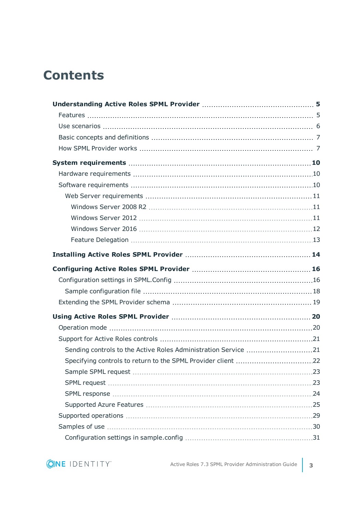## **Contents**

| Sending controls to the Active Roles Administration Service 21 |  |
|----------------------------------------------------------------|--|
|                                                                |  |
|                                                                |  |
|                                                                |  |
|                                                                |  |
|                                                                |  |
|                                                                |  |
|                                                                |  |
|                                                                |  |

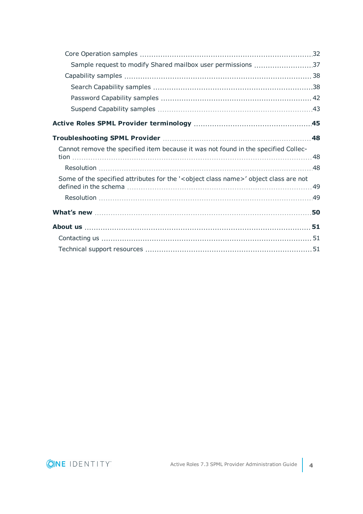| Sample request to modify Shared mailbox user permissions 37                                         |    |
|-----------------------------------------------------------------------------------------------------|----|
|                                                                                                     |    |
|                                                                                                     |    |
|                                                                                                     |    |
|                                                                                                     |    |
|                                                                                                     |    |
|                                                                                                     | 48 |
| Cannot remove the specified item because it was not found in the specified Collec-                  |    |
|                                                                                                     |    |
| Some of the specified attributes for the ' <object class="" name="">' object class are not</object> |    |
|                                                                                                     |    |
|                                                                                                     |    |
|                                                                                                     |    |
|                                                                                                     |    |
|                                                                                                     |    |

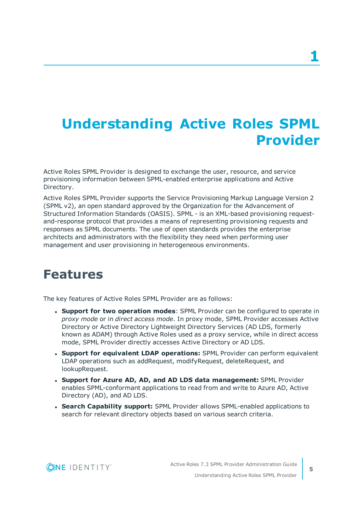# <span id="page-4-0"></span>**Understanding Active Roles SPML Provider**

Active Roles SPML Provider is designed to exchange the user, resource, and service provisioning information between SPML-enabled enterprise applications and Active Directory.

Active Roles SPML Provider supports the Service Provisioning Markup Language Version 2 (SPML v2), an open standard approved by the Organization for the Advancement of Structured Information Standards (OASIS). SPML - is an XML-based provisioning requestand-response protocol that provides a means of representing provisioning requests and responses as SPML documents. The use of open standards provides the enterprise architects and administrators with the flexibility they need when performing user management and user provisioning in heterogeneous environments.

## <span id="page-4-1"></span>**Features**

The key features of Active Roles SPML Provider are as follows:

- <sup>l</sup> **Support for two operation modes**: SPML Provider can be configured to operate in *proxy mode* or in *direct access mode*. In proxy mode, SPML Provider accesses Active Directory or Active Directory Lightweight Directory Services (AD LDS, formerly known as ADAM) through Active Roles used as a proxy service, while in direct access mode, SPML Provider directly accesses Active Directory or AD LDS.
- <sup>l</sup> **Support for equivalent LDAP operations:** SPML Provider can perform equivalent LDAP operations such as addRequest, modifyRequest, deleteRequest, and lookupRequest.
- <sup>l</sup> **Support for Azure AD, AD, and AD LDS data management:** SPML Provider enables SPML-conformant applications to read from and write to Azure AD, Active Directory (AD), and AD LDS.
- <sup>l</sup> **Search Capability support:** SPML Provider allows SPML-enabled applications to search for relevant directory objects based on various search criteria.

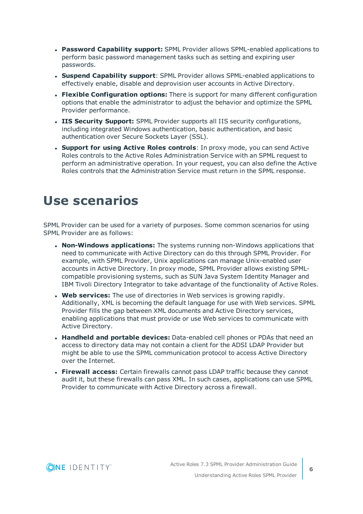- <sup>l</sup> **Password Capability support:** SPML Provider allows SPML-enabled applications to perform basic password management tasks such as setting and expiring user passwords.
- **. Suspend Capability support**: SPML Provider allows SPML-enabled applications to effectively enable, disable and deprovision user accounts in Active Directory.
- **Flexible Configuration options:** There is support for many different configuration options that enable the administrator to adjust the behavior and optimize the SPML Provider performance.
- <sup>l</sup> **IIS Security Support:** SPML Provider supports all IIS security configurations, including integrated Windows authentication, basic authentication, and basic authentication over Secure Sockets Layer (SSL).
- <sup>l</sup> **Support for using Active Roles controls**: In proxy mode, you can send Active Roles controls to the Active Roles Administration Service with an SPML request to perform an administrative operation. In your request, you can also define the Active Roles controls that the Administration Service must return in the SPML response.

## <span id="page-5-0"></span>**Use scenarios**

SPML Provider can be used for a variety of purposes. Some common scenarios for using SPML Provider are as follows:

- **Non-Windows applications:** The systems running non-Windows applications that need to communicate with Active Directory can do this through SPML Provider. For example, with SPML Provider, Unix applications can manage Unix-enabled user accounts in Active Directory. In proxy mode, SPML Provider allows existing SPMLcompatible provisioning systems, such as SUN Java System Identity Manager and IBM Tivoli Directory Integrator to take advantage of the functionality of Active Roles.
- **. Web services:** The use of directories in Web services is growing rapidly. Additionally, XML is becoming the default language for use with Web services. SPML Provider fills the gap between XML documents and Active Directory services, enabling applications that must provide or use Web services to communicate with Active Directory.
- <sup>l</sup> **Handheld and portable devices:** Data-enabled cell phones or PDAs that need an access to directory data may not contain a client for the ADSI LDAP Provider but might be able to use the SPML communication protocol to access Active Directory over the Internet.
- **Firewall access:** Certain firewalls cannot pass LDAP traffic because they cannot audit it, but these firewalls can pass XML. In such cases, applications can use SPML Provider to communicate with Active Directory across a firewall.

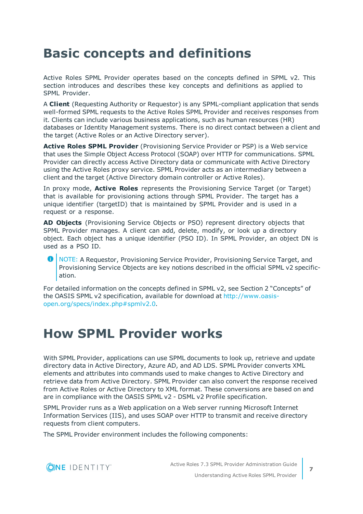## <span id="page-6-0"></span>**Basic concepts and definitions**

Active Roles SPML Provider operates based on the concepts defined in SPML v2. This section introduces and describes these key concepts and definitions as applied to SPML Provider.

A **Client** (Requesting Authority or Requestor) is any SPML-compliant application that sends well-formed SPML requests to the Active Roles SPML Provider and receives responses from it. Clients can include various business applications, such as human resources (HR) databases or Identity Management systems. There is no direct contact between a client and the target (Active Roles or an Active Directory server).

**Active Roles SPML Provider** (Provisioning Service Provider or PSP) is a Web service that uses the Simple Object Access Protocol (SOAP) over HTTP for communications. SPML Provider can directly access Active Directory data or communicate with Active Directory using the Active Roles proxy service. SPML Provider acts as an intermediary between a client and the target (Active Directory domain controller or Active Roles).

In proxy mode, **Active Roles** represents the Provisioning Service Target (or Target) that is available for provisioning actions through SPML Provider. The target has a unique identifier (targetID) that is maintained by SPML Provider and is used in a request or a response.

**AD Objects** (Provisioning Service Objects or PSO) represent directory objects that SPML Provider manages. A client can add, delete, modify, or look up a directory object. Each object has a unique identifier (PSO ID). In SPML Provider, an object DN is used as a PSO ID.

6 NOTE: A Requestor, Provisioning Service Provider, Provisioning Service Target, and Provisioning Service Objects are key notions described in the official SPML v2 specification.

For detailed information on the concepts defined in SPML v2, see Section 2 "Concepts" of the OASIS SPML v2 specification, available for download at [http://www.oasis](http://www.oasis-open.org/specs/index.php#spmlv2.0)[open.org/specs/index.php#spmlv2.0](http://www.oasis-open.org/specs/index.php#spmlv2.0).

## <span id="page-6-1"></span>**How SPML Provider works**

With SPML Provider, applications can use SPML documents to look up, retrieve and update directory data in Active Directory, Azure AD, and AD LDS. SPML Provider converts XML elements and attributes into commands used to make changes to Active Directory and retrieve data from Active Directory. SPML Provider can also convert the response received from Active Roles or Active Directory to XML format. These conversions are based on and are in compliance with the OASIS SPML v2 - DSML v2 Profile specification.

SPML Provider runs as a Web application on a Web server running Microsoft Internet Information Services (IIS), and uses SOAP over HTTP to transmit and receive directory requests from client computers.

The SPML Provider environment includes the following components:

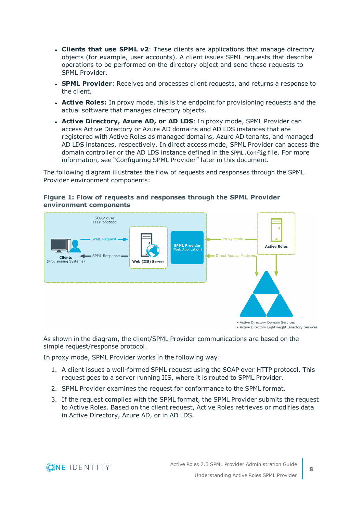- <sup>l</sup> **Clients that use SPML v2**: These clients are applications that manage directory objects (for example, user accounts). A client issues SPML requests that describe operations to be performed on the directory object and send these requests to SPML Provider.
- **. SPML Provider**: Receives and processes client requests, and returns a response to the client.
- **Active Roles:** In proxy mode, this is the endpoint for provisioning requests and the actual software that manages directory objects.
- <sup>l</sup> **Active Directory, Azure AD, or AD LDS**: In proxy mode, SPML Provider can access Active Directory or Azure AD domains and AD LDS instances that are registered with Active Roles as managed domains, Azure AD tenants, and managed AD LDS instances, respectively. In direct access mode, SPML Provider can access the domain controller or the AD LDS instance defined in the SPML.Config file. For more information, see "Configuring SPML Provider" later in this document.

The following diagram illustrates the flow of requests and responses through the SPML Provider environment components:





As shown in the diagram, the client/SPML Provider communications are based on the simple request/response protocol.

In proxy mode, SPML Provider works in the following way:

- 1. A client issues a well-formed SPML request using the SOAP over HTTP protocol. This request goes to a server running IIS, where it is routed to SPML Provider.
- 2. SPML Provider examines the request for conformance to the SPML format.
- 3. If the request complies with the SPML format, the SPML Provider submits the request to Active Roles. Based on the client request, Active Roles retrieves or modifies data in Active Directory, Azure AD, or in AD LDS.

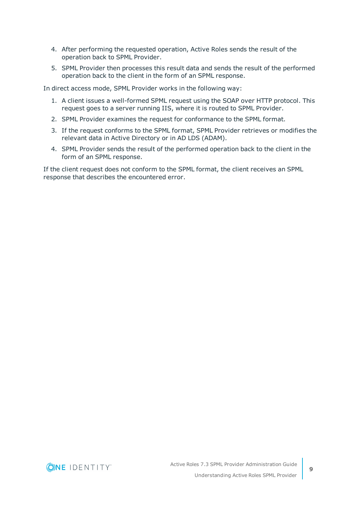- 4. After performing the requested operation, Active Roles sends the result of the operation back to SPML Provider.
- 5. SPML Provider then processes this result data and sends the result of the performed operation back to the client in the form of an SPML response.

In direct access mode, SPML Provider works in the following way:

- 1. A client issues a well-formed SPML request using the SOAP over HTTP protocol. This request goes to a server running IIS, where it is routed to SPML Provider.
- 2. SPML Provider examines the request for conformance to the SPML format.
- 3. If the request conforms to the SPML format, SPML Provider retrieves or modifies the relevant data in Active Directory or in AD LDS (ADAM).
- 4. SPML Provider sends the result of the performed operation back to the client in the form of an SPML response.

If the client request does not conform to the SPML format, the client receives an SPML response that describes the encountered error.

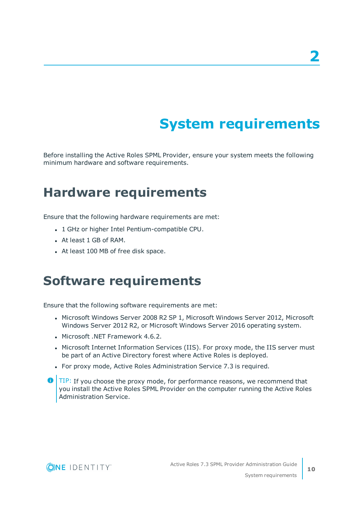# **System requirements**

<span id="page-9-0"></span>Before installing the Active Roles SPML Provider, ensure your system meets the following minimum hardware and software requirements.

## <span id="page-9-1"></span>**Hardware requirements**

Ensure that the following hardware requirements are met:

- <sup>l</sup> 1 GHz or higher Intel Pentium-compatible CPU.
- At least 1 GB of RAM.
- <span id="page-9-2"></span>• At least 100 MB of free disk space.

## **Software requirements**

Ensure that the following software requirements are met:

- Microsoft Windows Server 2008 R2 SP 1, Microsoft Windows Server 2012, Microsoft Windows Server 2012 R2, or Microsoft Windows Server 2016 operating system.
- Microsoft .NET Framework 4.6.2.
- Microsoft Internet Information Services (IIS). For proxy mode, the IIS server must be part of an Active Directory forest where Active Roles is deployed.
- For proxy mode, Active Roles Administration Service 7.3 is required.
- **O** TIP: If you choose the proxy mode, for performance reasons, we recommend that you install the Active Roles SPML Provider on the computer running the Active Roles Administration Service.



**10**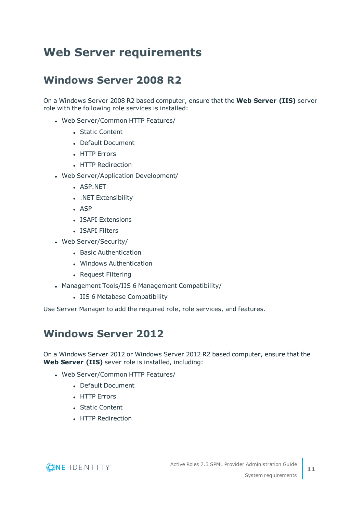## <span id="page-10-0"></span>**Web Server requirements**

### <span id="page-10-1"></span>**Windows Server 2008 R2**

On a Windows Server 2008 R2 based computer, ensure that the **Web Server (IIS)** server role with the following role services is installed:

- Web Server/Common HTTP Features/
	- Static Content
	- Default Document
	- HTTP Errors
	- **.** HTTP Redirection
- Web Server/Application Development/
	- ASP.NET
	- . .NET Extensibility
	- $-$  ASP
	- **.** ISAPI Extensions
	- ISAPI Filters
- Web Server/Security/
	- Basic Authentication
	- Windows Authentication
	- Request Filtering
- Management Tools/IIS 6 Management Compatibility/
	- IIS 6 Metabase Compatibility

<span id="page-10-2"></span>Use Server Manager to add the required role, role services, and features.

### **Windows Server 2012**

On a Windows Server 2012 or Windows Server 2012 R2 based computer, ensure that the **Web Server (IIS)** sever role is installed, including:

- Web Server/Common HTTP Features/
	- Default Document
	- HTTP Errors
	- Static Content
	- **.** HTTP Redirection

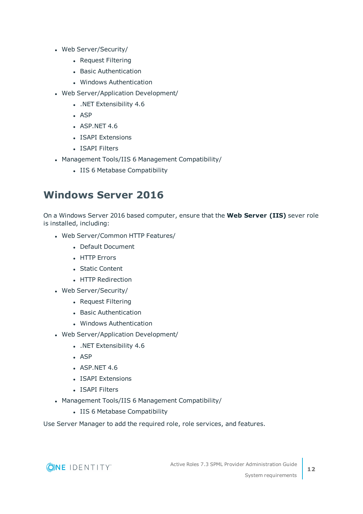- Web Server/Security/
	- Request Filtering
	- Basic Authentication
	- Windows Authentication
- Web Server/Application Development/
	- . NET Extensibility 4.6
	- $-$  ASP
	- $-$  ASP.NET 4.6
	- ISAPI Extensions
	- ISAPI Filters
- Management Tools/IIS 6 Management Compatibility/
	- IIS 6 Metabase Compatibility

### <span id="page-11-0"></span>**Windows Server 2016**

On a Windows Server 2016 based computer, ensure that the **Web Server (IIS)** sever role is installed, including:

- Web Server/Common HTTP Features/
	- Default Document
	- HTTP Errors
	- Static Content
	- HTTP Redirection
- Web Server/Security/
	- Request Filtering
	- Basic Authentication
	- Windows Authentication
- Web Server/Application Development/
	- . NET Extensibility 4.6
	- $-$  ASP
	- $\bullet$  ASP.NET 4.6
	- ISAPI Extensions
	- ISAPI Filters
- Management Tools/IIS 6 Management Compatibility/
	- IIS 6 Metabase Compatibility

Use Server Manager to add the required role, role services, and features.

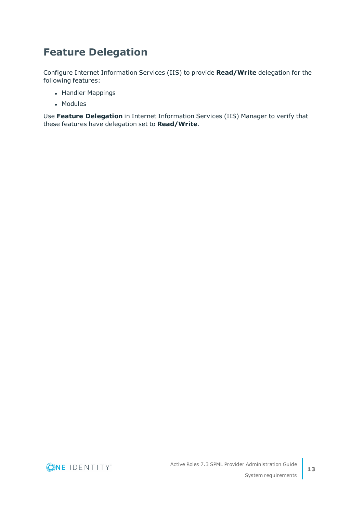### <span id="page-12-0"></span>**Feature Delegation**

Configure Internet Information Services (IIS) to provide **Read/Write** delegation for the following features:

- Handler Mappings
- Modules

Use **Feature Delegation** in Internet Information Services (IIS) Manager to verify that these features have delegation set to **Read/Write**.

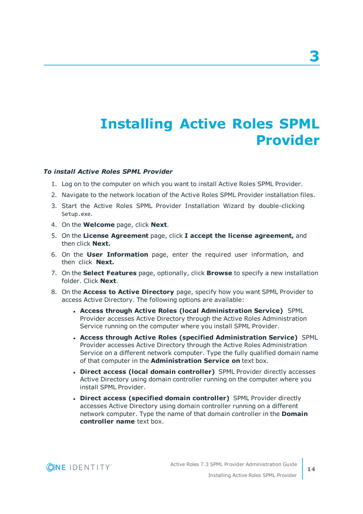# <span id="page-13-0"></span>**Installing Active Roles SPML Provider**

#### *To install Active Roles SPML Provider*

- 1. Log on to the computer on which you want to install Active Roles SPML Provider.
- 2. Navigate to the network location of the Active Roles SPML Provider installation files.
- 3. Start the Active Roles SPML Provider Installation Wizard by double-clicking Setup.exe.
- 4. On the **Welcome** page, click **Next**.
- 5. On the **License Agreement** page, click **I accept the license agreement,** and then click **Next.**
- 6. On the **User Information** page, enter the required user information, and then click **Next.**
- 7. On the **Select Features** page, optionally, click **Browse** to specify a new installation folder. Click **Next**.
- 8. On the **Access to Active Directory** page, specify how you want SPML Provider to access Active Directory. The following options are available:
	- <sup>l</sup> **Access through Active Roles (local Administration Service)** SPML Provider accesses Active Directory through the Active Roles Administration Service running on the computer where you install SPML Provider.
	- <sup>l</sup> **Access through Active Roles (specified Administration Service)** SPML Provider accesses Active Directory through the Active Roles Administration Service on a different network computer. Type the fully qualified domain name of that computer in the **Administration Service on** text box.
	- <sup>l</sup> **Direct access (local domain controller)** SPML Provider directly accesses Active Directory using domain controller running on the computer where you install SPML Provider.
	- <sup>l</sup> **Direct access (specified domain controller)** SPML Provider directly accesses Active Directory using domain controller running on a different network computer. Type the name of that domain controller in the **Domain controller name** text box.

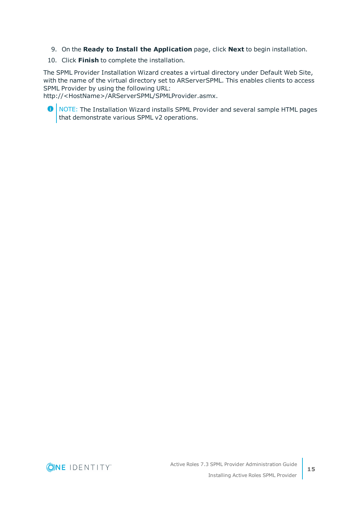- 9. On the **Ready to Install the Application** page, click **Next** to begin installation.
- 10. Click **Finish** to complete the installation.

The SPML Provider Installation Wizard creates a virtual directory under Default Web Site, with the name of the virtual directory set to ARServerSPML. This enables clients to access SPML Provider by using the following URL:

http://<HostName>/ARServerSPML/SPMLProvider.asmx.

O | NOTE: The Installation Wizard installs SPML Provider and several sample HTML pages that demonstrate various SPML v2 operations.

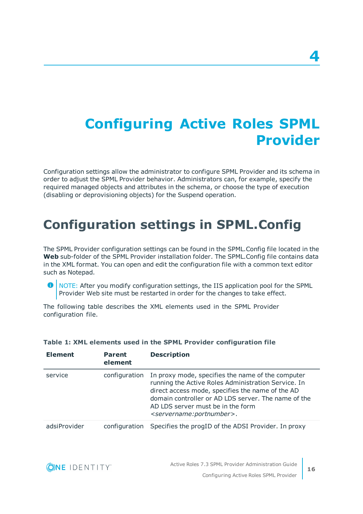# <span id="page-15-0"></span>**Configuring Active Roles SPML Provider**

Configuration settings allow the administrator to configure SPML Provider and its schema in order to adjust the SPML Provider behavior. Administrators can, for example, specify the required managed objects and attributes in the schema, or choose the type of execution (disabling or deprovisioning objects) for the Suspend operation.

## <span id="page-15-1"></span>**Configuration settings in SPML.Config**

The SPML Provider configuration settings can be found in the SPML.Config file located in the **Web** sub-folder of the SPML Provider installation folder. The SPML.Config file contains data in the XML format. You can open and edit the configuration file with a common text editor such as Notepad.

**O** NOTE: After you modify configuration settings, the IIS application pool for the SPML Provider Web site must be restarted in order for the changes to take effect.

The following table describes the XML elements used in the SPML Provider configuration file.

| <b>Element</b> | <b>Parent</b><br>element | <b>Description</b>                                                                                                                                                                                                                                                                                           |
|----------------|--------------------------|--------------------------------------------------------------------------------------------------------------------------------------------------------------------------------------------------------------------------------------------------------------------------------------------------------------|
| service        | configuration            | In proxy mode, specifies the name of the computer<br>running the Active Roles Administration Service. In<br>direct access mode, specifies the name of the AD<br>domain controller or AD LDS server. The name of the<br>AD LDS server must be in the form<br><servername:portnumber>.</servername:portnumber> |
| adsiProvider   |                          | configuration Specifies the progID of the ADSI Provider. In proxy                                                                                                                                                                                                                                            |

#### **Table 1: XML elements used in the SPML Provider configuration file**

**Description of the contract of the contract of the contract of the contract of the contract of the contract of the contract of the contract of the contract of the contract of the contract of the contract of the contract o** 

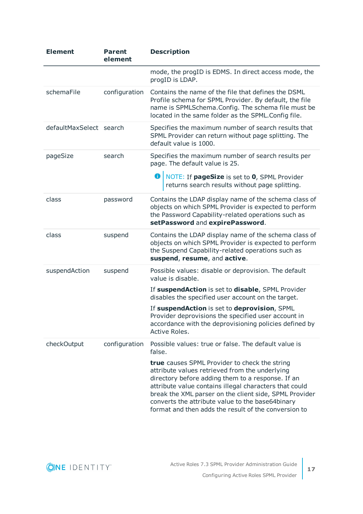| <b>Element</b>          | <b>Parent</b><br>element | <b>Description</b>                                                                                                                                                                                                                                                                                                                                                                   |
|-------------------------|--------------------------|--------------------------------------------------------------------------------------------------------------------------------------------------------------------------------------------------------------------------------------------------------------------------------------------------------------------------------------------------------------------------------------|
|                         |                          | mode, the progID is EDMS. In direct access mode, the<br>progID is LDAP.                                                                                                                                                                                                                                                                                                              |
| schemaFile              | configuration            | Contains the name of the file that defines the DSML<br>Profile schema for SPML Provider. By default, the file<br>name is SPMLSchema.Config. The schema file must be<br>located in the same folder as the SPML.Config file.                                                                                                                                                           |
| defaultMaxSelect search |                          | Specifies the maximum number of search results that<br>SPML Provider can return without page splitting. The<br>default value is 1000.                                                                                                                                                                                                                                                |
| pageSize                | search                   | Specifies the maximum number of search results per<br>page. The default value is 25.                                                                                                                                                                                                                                                                                                 |
|                         |                          | NOTE: If pageSize is set to 0, SPML Provider<br>returns search results without page splitting.                                                                                                                                                                                                                                                                                       |
| class                   | password                 | Contains the LDAP display name of the schema class of<br>objects on which SPML Provider is expected to perform<br>the Password Capability-related operations such as<br>setPassword and expirePassword.                                                                                                                                                                              |
| class                   | suspend                  | Contains the LDAP display name of the schema class of<br>objects on which SPML Provider is expected to perform<br>the Suspend Capability-related operations such as<br>suspend, resume, and active.                                                                                                                                                                                  |
| suspendAction           | suspend                  | Possible values: disable or deprovision. The default<br>value is disable.                                                                                                                                                                                                                                                                                                            |
|                         |                          | If suspendAction is set to disable, SPML Provider<br>disables the specified user account on the target.                                                                                                                                                                                                                                                                              |
|                         |                          | If suspendAction is set to deprovision, SPML<br>Provider deprovisions the specified user account in<br>accordance with the deprovisioning policies defined by<br>Active Roles.                                                                                                                                                                                                       |
| checkOutput             | configuration            | Possible values: true or false. The default value is<br>false.                                                                                                                                                                                                                                                                                                                       |
|                         |                          | true causes SPML Provider to check the string<br>attribute values retrieved from the underlying<br>directory before adding them to a response. If an<br>attribute value contains illegal characters that could<br>break the XML parser on the client side, SPML Provider<br>converts the attribute value to the base64binary<br>format and then adds the result of the conversion to |

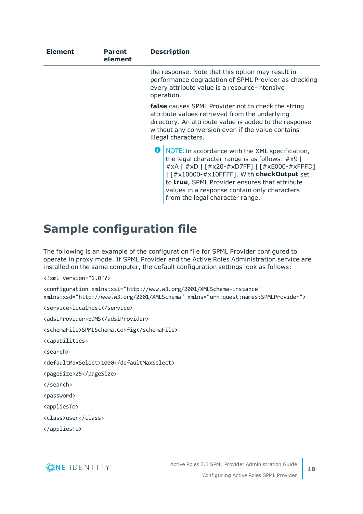| <b>Element</b> | <b>Parent</b><br>element | <b>Description</b>                                                                                                                                                                                                                                                                                                                                                                                                                                                                                                                                                                                                 |
|----------------|--------------------------|--------------------------------------------------------------------------------------------------------------------------------------------------------------------------------------------------------------------------------------------------------------------------------------------------------------------------------------------------------------------------------------------------------------------------------------------------------------------------------------------------------------------------------------------------------------------------------------------------------------------|
|                |                          | the response. Note that this option may result in<br>performance degradation of SPML Provider as checking<br>every attribute value is a resource-intensive<br>operation.                                                                                                                                                                                                                                                                                                                                                                                                                                           |
|                |                          | false causes SPML Provider not to check the string<br>attribute values retrieved from the underlying<br>directory. An attribute value is added to the response<br>without any conversion even if the value contains<br>illegal characters.                                                                                                                                                                                                                                                                                                                                                                         |
|                |                          | NOTE: In accordance with the XML specification,<br>the legal character range is as follows: $#x9$  <br>#xA   #xD   [#x20-#xD7FF]   [#xE000-#xFFFD]<br>$\int$ $\frac{1}{2}$ $\frac{1}{2}$ $\frac{1}{2}$ $\frac{1}{2}$ $\frac{1}{2}$ $\frac{1}{2}$ $\frac{1}{2}$ $\frac{1}{2}$ $\frac{1}{2}$ $\frac{1}{2}$ $\frac{1}{2}$ $\frac{1}{2}$ $\frac{1}{2}$ $\frac{1}{2}$ $\frac{1}{2}$ $\frac{1}{2}$ $\frac{1}{2}$ $\frac{1}{2}$ $\frac{1}{2}$ $\frac{1}{2}$ $\frac{1}{2}$ $\frac{1}{$<br>to true, SPML Provider ensures that attribute<br>values in a response contain only characters<br>from the legal character range. |

### <span id="page-17-0"></span>**Sample configuration file**

The following is an example of the configuration file for SPML Provider configured to operate in proxy mode. If SPML Provider and the Active Roles Administration service are installed on the same computer, the default configuration settings look as follows:

```
<?xml version="1.0"?>
<configuration xmlns:xsi="http://www.w3.org/2001/XMLSchema-instance"
xmlns:xsd="http://www.w3.org/2001/XMLSchema" xmlns="urn:quest:names:SPMLProvider">
<service>localhost</service>
<adsiProvider>EDMS</adsiProvider>
<schemaFile>SPMLSchema.Config</schemaFile>
<capabilities>
<search>
<defaultMaxSelect>1000</defaultMaxSelect>
<pageSize>25</pageSize>
</search>
<password>
<appliesTo>
<class>user</class>
```
</appliesTo>



**18**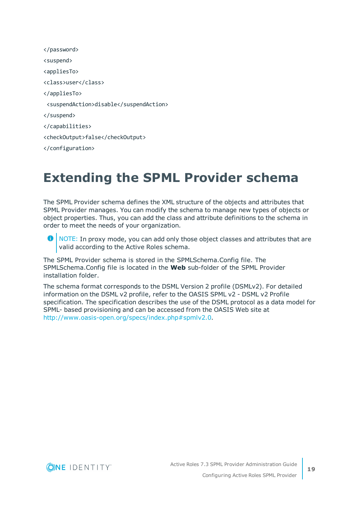| <suspend></suspend>                    |
|----------------------------------------|
| <appliesto></appliesto>                |
| <class>user</class>                    |
|                                        |
| <suspendaction>disable</suspendaction> |
|                                        |
|                                        |
| <checkoutput>false</checkoutput>       |
|                                        |
|                                        |

## <span id="page-18-0"></span>**Extending the SPML Provider schema**

The SPML Provider schema defines the XML structure of the objects and attributes that SPML Provider manages. You can modify the schema to manage new types of objects or object properties. Thus, you can add the class and attribute definitions to the schema in order to meet the needs of your organization.

 $\bullet$  NOTE: In proxy mode, you can add only those object classes and attributes that are valid according to the Active Roles schema.

The SPML Provider schema is stored in the SPMLSchema.Config file. The SPMLSchema.Config file is located in the **Web** sub-folder of the SPML Provider installation folder.

The schema format corresponds to the DSML Version 2 profile (DSMLv2). For detailed information on the DSML v2 profile, refer to the OASIS SPML v2 - DSML v2 Profile specification. The specification describes the use of the DSML protocol as a data model for SPML- based provisioning and can be accessed from the OASIS Web site at <http://www.oasis-open.org/specs/index.php#spmlv2.0>.

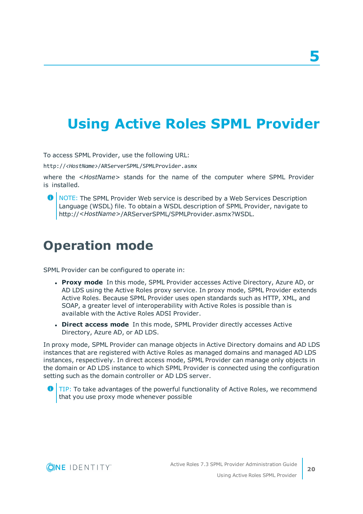# <span id="page-19-0"></span>**Using Active Roles SPML Provider**

To access SPML Provider, use the following URL:

http://*<HostName>*/ARServerSPML/SPMLProvider.asmx

where the *<HostName>* stands for the name of the computer where SPML Provider is installed.

**O** NOTE: The SPML Provider Web service is described by a Web Services Description Language (WSDL) file. To obtain a WSDL description of SPML Provider, navigate to http://*<HostName>*/ARServerSPML/SPMLProvider.asmx?WSDL.

## <span id="page-19-1"></span>**Operation mode**

SPML Provider can be configured to operate in:

- <sup>l</sup> **Proxy mode** In this mode, SPML Provider accesses Active Directory, Azure AD, or AD LDS using the Active Roles proxy service. In proxy mode, SPML Provider extends Active Roles. Because SPML Provider uses open standards such as HTTP, XML, and SOAP, a greater level of interoperability with Active Roles is possible than is available with the Active Roles ADSI Provider.
- <sup>l</sup> **Direct access mode** In this mode, SPML Provider directly accesses Active Directory, Azure AD, or AD LDS.

In proxy mode, SPML Provider can manage objects in Active Directory domains and AD LDS instances that are registered with Active Roles as managed domains and managed AD LDS instances, respectively. In direct access mode, SPML Provider can manage only objects in the domain or AD LDS instance to which SPML Provider is connected using the configuration setting such as the domain controller or AD LDS server.



TIP: To take advantages of the powerful functionality of Active Roles, we recommend Œ that you use proxy mode whenever possible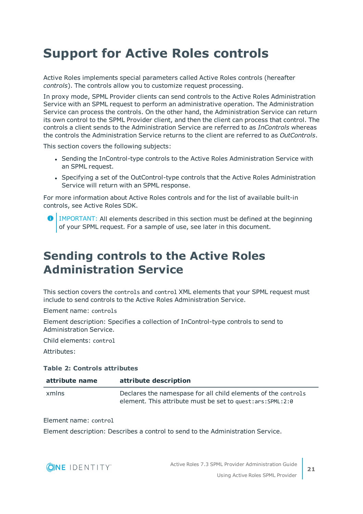# <span id="page-20-0"></span>**Support for Active Roles controls**

Active Roles implements special parameters called Active Roles controls (hereafter *controls*). The controls allow you to customize request processing.

In proxy mode, SPML Provider clients can send controls to the Active Roles Administration Service with an SPML request to perform an administrative operation. The Administration Service can process the controls. On the other hand, the Administration Service can return its own control to the SPML Provider client, and then the client can process that control. The controls a client sends to the Administration Service are referred to as *InControls* whereas the controls the Administration Service returns to the client are referred to as *OutControls*.

This section covers the following subjects:

- Sending the InControl-type controls to the Active Roles Administration Service with an SPML request.
- Specifying a set of the OutControl-type controls that the Active Roles Administration Service will return with an SPML response.

For more information about Active Roles controls and for the list of available built-in controls, see Active Roles SDK.

**O** | IMPORTANT: All elements described in this section must be defined at the beginning of your SPML request. For a sample of use, see later in this document.

## <span id="page-20-1"></span>**Sending controls to the Active Roles Administration Service**

This section covers the controls and control XML elements that your SPML request must include to send controls to the Active Roles Administration Service.

Element name: controls

Element description: Specifies a collection of InControl-type controls to send to Administration Service.

Child elements: control

Attributes:

#### **Table 2: Controls attributes**

| attribute name | attribute description                                                                                                          |
|----------------|--------------------------------------------------------------------------------------------------------------------------------|
| xmlns          | Declares the namespase for all child elements of the controls<br>element. This attribute must be set to quest: ars: SPML: 2: 0 |

Element name: control

Element description: Describes a control to send to the Administration Service.

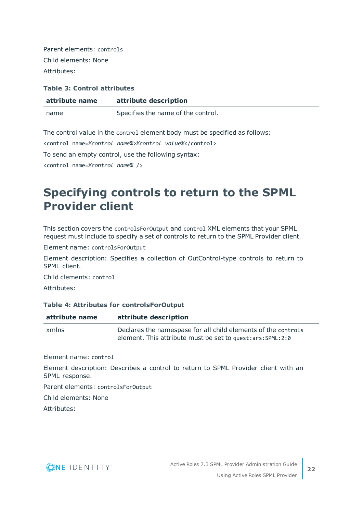Parent elements: controls Child elements: None Attributes:

#### **Table 3: Control attributes**

| attribute name | attribute description              |
|----------------|------------------------------------|
| name           | Specifies the name of the control. |

The control value in the control element body must be specified as follows:

<control name=*%control name%*>*%control value%*</control>

To send an empty control, use the following syntax:

<span id="page-21-0"></span><control name=*%control name%* />

## **Specifying controls to return to the SPML Provider client**

This section covers the controlsForOutput and control XML elements that your SPML request must include to specify a set of controls to return to the SPML Provider client.

Element name: controlsForOutput

Element description: Specifies a collection of OutControl-type controls to return to SPML client.

Child clements: control

Attributes:

#### **Table 4: Attributes for controlsForOutput**

| attribute name | attribute description                                                                                                          |
|----------------|--------------------------------------------------------------------------------------------------------------------------------|
| xmlns          | Declares the namespase for all child elements of the controls<br>element. This attribute must be set to quest: ars: SPML: 2: 0 |

Element name: control

Element description: Describes a control to return to SPML Provider client with an SPML response.

Parent elements: controlsForOutput

Child elements: None

Attributes:

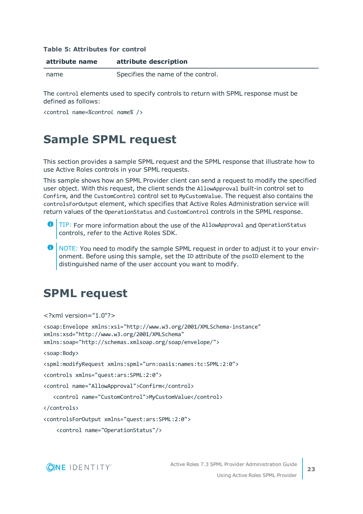#### **Table 5: Attributes for control**

| attribute name | attribute description              |  |
|----------------|------------------------------------|--|
| name           | Specifies the name of the control. |  |

The control elements used to specify controls to return with SPML response must be defined as follows:

<span id="page-22-0"></span><control name=*%control name%* />

### **Sample SPML request**

This section provides a sample SPML request and the SPML response that illustrate how to use Active Roles controls in your SPML requests.

This sample shows how an SPML Provider client can send a request to modify the specified user object. With this request, the client sends the AllowApproval built-in control set to Confirm, and the CustomControl control set to MyCustomValue. The request also contains the controlsForOutput element, which specifies that Active Roles Administration service will return values of the OperationStatus and CustomControl controls in the SPML response.

- 6 TIP: For more information about the use of the AllowApproval and OperationStatus controls, refer to the Active Roles SDK.
- **O** NOTE: You need to modify the sample SPML request in order to adjust it to your environment. Before using this sample, set the ID attribute of the psoID element to the distinguished name of the user account you want to modify.

### <span id="page-22-1"></span>**SPML request**

```
<?xml version="1.0"?>
```

```
<soap:Envelope xmlns:xsi="http://www.w3.org/2001/XMLSchema-instance"
xmlns:xsd="http://www.w3.org/2001/XMLSchema"
xmlns:soap="http://schemas.xmlsoap.org/soap/envelope/">
```
<soap:Body>

<spml:modifyRequest xmlns:spml="urn:oasis:names:tc:SPML:2:0">

<controls xmlns="quest:ars:SPML:2:0">

<control name="AllowApproval">Confirm</control>

<control name="CustomControl">MyCustomValue</control>

</controls>

<controlsForOutput xmlns="quest:ars:SPML:2:0">

<control name="OperationStatus"/>

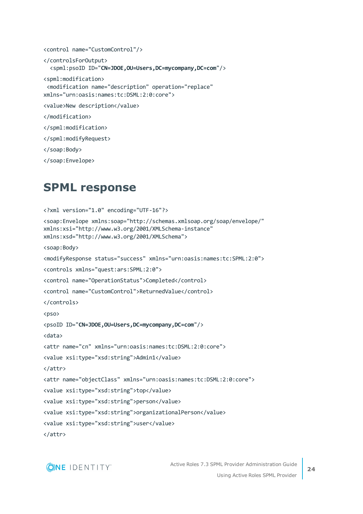```
<control name="CustomControl"/>
</controlsForOutput>
   <spml:psoID ID="CN=JDOE,OU=Users,DC=mycompany,DC=com"/>
<spml:modification>
  <modification name="description" operation="replace" 
xmlns="urn:oasis:names:tc:DSML:2:0:core">
<value>New description</value>
</modification>
</spml:modification>
</spml:modifyRequest>
```

```
</soap:Body>
```

```
</soap:Envelope>
```
## **SPML response**

```
<?xml version="1.0" encoding="UTF-16"?>
<soap:Envelope xmlns:soap="http://schemas.xmlsoap.org/soap/envelope/"
xmlns:xsi="http://www.w3.org/2001/XMLSchema-instance"
xmlns:xsd="http://www.w3.org/2001/XMLSchema">
<soap:Body>
<modifyResponse status="success" xmlns="urn:oasis:names:tc:SPML:2:0">
<controls xmlns="quest:ars:SPML:2:0">
<control name="OperationStatus">Completed</control>
<control name="CustomControl">ReturnedValue</control>
</controls>
<pso>
<psoID ID="CN=JDOE,OU=Users,DC=mycompany,DC=com"/>
<data>
<attr name="cn" xmlns="urn:oasis:names:tc:DSML:2:0:core">
<value xsi:type="xsd:string">Admin1</value>
</attr>
<attr name="objectClass" xmlns="urn:oasis:names:tc:DSML:2:0:core">
<value xsi:type="xsd:string">top</value>
<value xsi:type="xsd:string">person</value>
<value xsi:type="xsd:string">organizationalPerson</value>
<value xsi:type="xsd:string">user</value>
</attr>
```
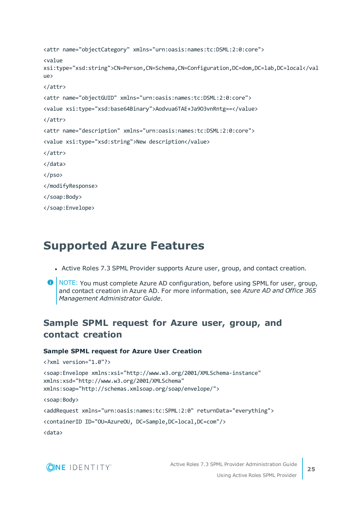```
<attr name="objectCategory" xmlns="urn:oasis:names:tc:DSML:2:0:core">
<value
xsi:type="xsd:string">CN=Person,CN=Schema,CN=Configuration,DC=dom,DC=lab,DC=local</val
IIB</attr>
<attr name="objectGUID" xmlns="urn:oasis:names:tc:DSML:2:0:core">
<value xsi:type="xsd:base64Binary">Aodvua6TAE+Ja9O3vnRntg==</value>
</attr>
<attr name="description" xmlns="urn:oasis:names:tc:DSML:2:0:core">
<value xsi:type="xsd:string">New description</value>
</attr>
</data>
\langle/pso\rangle</modifyResponse>
</soap:Body>
</soap:Envelope>
```
### <span id="page-24-0"></span>**Supported Azure Features**

- Active Roles 7.3 SPML Provider supports Azure user, group, and contact creation.
- **O** NOTE: You must complete Azure AD configuration, before using SPML for user, group, and contact creation in Azure AD. For more information, see *Azure AD and Office 365 Management Administrator Guide*.

### **Sample SPML request for Azure user, group, and contact creation**

#### **Sample SPML request for Azure User Creation**

```
<?xml version="1.0"?>
```

```
<soap:Envelope xmlns:xsi="http://www.w3.org/2001/XMLSchema-instance"
xmlns:xsd="http://www.w3.org/2001/XMLSchema"
xmlns:soap="http://schemas.xmlsoap.org/soap/envelope/">
<soap:Body>
<addRequest xmlns="urn:oasis:names:tc:SPML:2:0" returnData="everything">
<containerID ID="OU=AzureOU, DC=Sample,DC=local,DC=com"/>
<data>
```
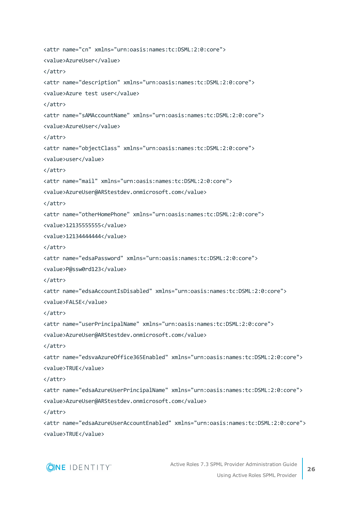```
<attr name="cn" xmlns="urn:oasis:names:tc:DSML:2:0:core">
<value>AzureUser</value>
</attr>
<attr name="description" xmlns="urn:oasis:names:tc:DSML:2:0:core">
<value>Azure test user</value>
</attr>
<attr name="sAMAccountName" xmlns="urn:oasis:names:tc:DSML:2:0:core">
<value>AzureUser</value>
</attr>
<attr name="objectClass" xmlns="urn:oasis:names:tc:DSML:2:0:core">
<value>user</value>
</attr>
<attr name="mail" xmlns="urn:oasis:names:tc:DSML:2:0:core">
<value>AzureUser@ARStestdev.onmicrosoft.com</value>
</attr>
<attr name="otherHomePhone" xmlns="urn:oasis:names:tc:DSML:2:0:core">
<value>12135555555</value>
<value>12134444444</value>
</attr>
<attr name="edsaPassword" xmlns="urn:oasis:names:tc:DSML:2:0:core">
<value>P@ssw0rd123</value>
</attr>
<attr name="edsaAccountIsDisabled" xmlns="urn:oasis:names:tc:DSML:2:0:core">
<value>FALSE</value>
</attr>
<attr name="userPrincipalName" xmlns="urn:oasis:names:tc:DSML:2:0:core">
<value>AzureUser@ARStestdev.onmicrosoft.com</value>
</attr>
<attr name="edsvaAzureOffice365Enabled" xmlns="urn:oasis:names:tc:DSML:2:0:core">
<value>TRUE</value>
</attr>
<attr name="edsaAzureUserPrincipalName" xmlns="urn:oasis:names:tc:DSML:2:0:core">
<value>AzureUser@ARStestdev.onmicrosoft.com</value>
</attr>
<attr name="edsaAzureUserAccountEnabled" xmlns="urn:oasis:names:tc:DSML:2:0:core">
```
<value>TRUE</value>

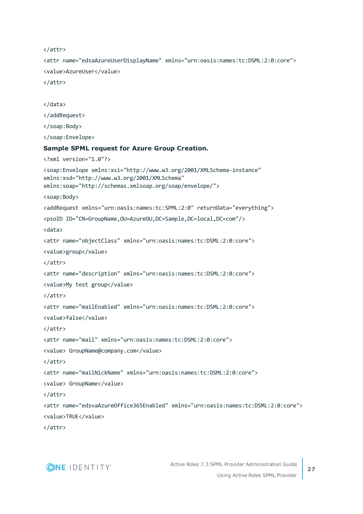```
</attr>
<attr name="edsaAzureUserDisplayName" xmlns="urn:oasis:names:tc:DSML:2:0:core">
<value>AzureUser</value>
</attr>
</data>
</addRequest>
</soap:Body>
</soap:Envelope>
Sample SPML request for Azure Group Creation.
<?xml version="1.0"?>
<soap:Envelope xmlns:xsi="http://www.w3.org/2001/XMLSchema-instance"
xmlns:xsd="http://www.w3.org/2001/XMLSchema"
xmlns:soap="http://schemas.xmlsoap.org/soap/envelope/">
<soap:Body>
<addRequest xmlns="urn:oasis:names:tc:SPML:2:0" returnData="everything">
<psoID ID="CN=GroupName,OU=AzureOU,DC=Sample,DC=local,DC=com"/>
<data>
<attr name="objectClass" xmlns="urn:oasis:names:tc:DSML:2:0:core">
<value>group</value>
</attr>
<attr name="description" xmlns="urn:oasis:names:tc:DSML:2:0:core">
<value>My test group</value>
</attr>
<attr name="mailEnabled" xmlns="urn:oasis:names:tc:DSML:2:0:core">
<value>false</value>
</attr>
<attr name="mail" xmlns="urn:oasis:names:tc:DSML:2:0:core">
<value> GroupName@company.com</value>
</attr>
<attr name="mailNickName" xmlns="urn:oasis:names:tc:DSML:2:0:core">
<value> GroupName</value>
</attr>
<attr name="edsvaAzureOffice365Enabled" xmlns="urn:oasis:names:tc:DSML:2:0:core">
<value>TRUE</value>
```
</attr>

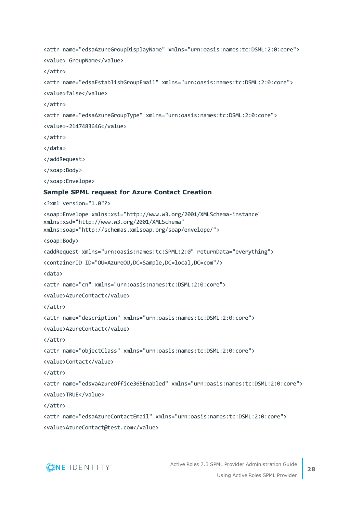```
<attr name="edsaAzureGroupDisplayName" xmlns="urn:oasis:names:tc:DSML:2:0:core">
<value> GroupName</value>
</attr>
<attr name="edsaEstablishGroupEmail" xmlns="urn:oasis:names:tc:DSML:2:0:core">
<value>false</value>
</attr>
<attr name="edsaAzureGroupType" xmlns="urn:oasis:names:tc:DSML:2:0:core">
<value>-2147483646</value>
</attr>
</data>
</addRequest>
</soap:Body>
</soap:Envelope>
Sample SPML request for Azure Contact Creation
<?xml version="1.0"?>
<soap:Envelope xmlns:xsi="http://www.w3.org/2001/XMLSchema-instance"
xmlns:xsd="http://www.w3.org/2001/XMLSchema"
xmlns:soap="http://schemas.xmlsoap.org/soap/envelope/">
<soap:Body>
<addRequest xmlns="urn:oasis:names:tc:SPML:2:0" returnData="everything">
<containerID ID="OU=AzureOU,DC=Sample,DC=local,DC=com"/>
<data>
<attr name="cn" xmlns="urn:oasis:names:tc:DSML:2:0:core">
<value>AzureContact</value>
</attr>
<attr name="description" xmlns="urn:oasis:names:tc:DSML:2:0:core">
<value>AzureContact</value>
</attr>
<attr name="objectClass" xmlns="urn:oasis:names:tc:DSML:2:0:core">
<value>Contact</value>
</attr>
<attr name="edsvaAzureOffice365Enabled" xmlns="urn:oasis:names:tc:DSML:2:0:core">
<value>TRUE</value>
</attr>
<attr name="edsaAzureContactEmail" xmlns="urn:oasis:names:tc:DSML:2:0:core">
```
<value>AzureContact@test.com</value>

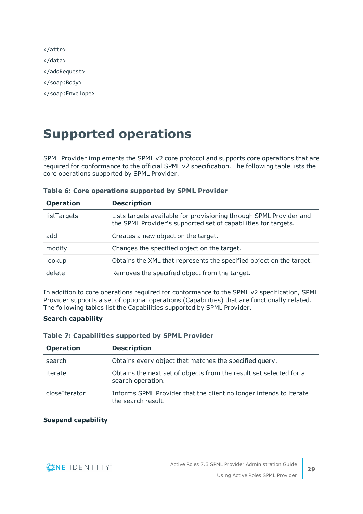# <span id="page-28-0"></span>**Supported operations**

SPML Provider implements the SPML v2 core protocol and supports core operations that are required for conformance to the official SPML v2 specification. The following table lists the core operations supported by SPML Provider.

| <b>Operation</b> | <b>Description</b>                                                                                                                   |
|------------------|--------------------------------------------------------------------------------------------------------------------------------------|
| listTargets      | Lists targets available for provisioning through SPML Provider and<br>the SPML Provider's supported set of capabilities for targets. |
| add              | Creates a new object on the target.                                                                                                  |
| modify           | Changes the specified object on the target.                                                                                          |
| lookup           | Obtains the XML that represents the specified object on the target.                                                                  |
| delete           | Removes the specified object from the target.                                                                                        |

#### **Table 6: Core operations supported by SPML Provider**

In addition to core operations required for conformance to the SPML v2 specification, SPML Provider supports a set of optional operations (Capabilities) that are functionally related. The following tables list the Capabilities supported by SPML Provider.

#### **Search capability**

#### **Table 7: Capabilities supported by SPML Provider**

| <b>Operation</b> | <b>Description</b>                                                                       |
|------------------|------------------------------------------------------------------------------------------|
| search           | Obtains every object that matches the specified query.                                   |
| iterate          | Obtains the next set of objects from the result set selected for a<br>search operation.  |
| closeIterator    | Informs SPML Provider that the client no longer intends to iterate<br>the search result. |

#### **Suspend capability**

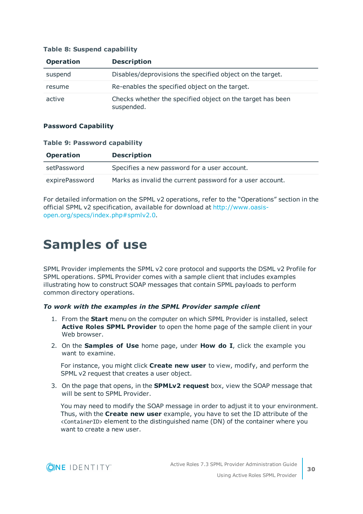| <b>Operation</b> | <b>Description</b>                                                       |
|------------------|--------------------------------------------------------------------------|
| suspend          | Disables/deprovisions the specified object on the target.                |
| resume           | Re-enables the specified object on the target.                           |
| active           | Checks whether the specified object on the target has been<br>suspended. |

#### **Table 8: Suspend capability**

#### **Password Capability**

#### **Table 9: Password capability**

| <b>Operation</b> | <b>Description</b>                                        |
|------------------|-----------------------------------------------------------|
| setPassword      | Specifies a new password for a user account.              |
| expirePassword   | Marks as invalid the current password for a user account. |

For detailed information on the SPML v2 operations, refer to the "Operations" section in the official SPML v2 specification, available for download at [http://www.oasis](http://www.oasis-open.org/specs/index.php#spmlv2.0)[open.org/specs/index.php#spmlv2.0](http://www.oasis-open.org/specs/index.php#spmlv2.0).

## <span id="page-29-0"></span>**Samples of use**

SPML Provider implements the SPML v2 core protocol and supports the DSML v2 Profile for SPML operations. SPML Provider comes with a sample client that includes examples illustrating how to construct SOAP messages that contain SPML payloads to perform common directory operations.

#### *To work with the examples in the SPML Provider sample client*

- 1. From the **Start** menu on the computer on which SPML Provider is installed, select **Active Roles SPML Provider** to open the home page of the sample client in your Web browser.
- 2. On the **Samples of Use** home page, under **How do I**, click the example you want to examine.

For instance, you might click **Create new user** to view, modify, and perform the SPML v2 request that creates a user object.

3. On the page that opens, in the **SPMLv2 request** box, view the SOAP message that will be sent to SPML Provider.

You may need to modify the SOAP message in order to adjust it to your environment. Thus, with the **Create new user** example, you have to set the ID attribute of the <ContainerID> element to the distinguished name (DN) of the container where you want to create a new user.

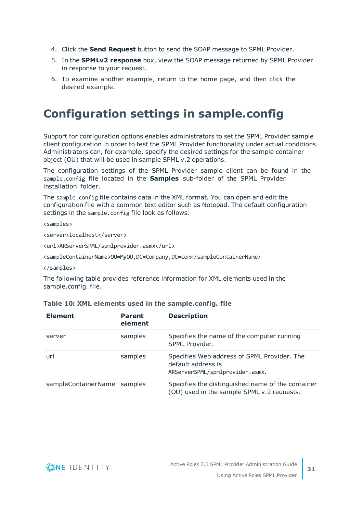- 4. Click the **Send Request** button to send the SOAP message to SPML Provider.
- 5. In the **SPMLv2 response** box, view the SOAP message returned by SPML Provider in response to your request.
- 6. To examine another example, return to the home page, and then click the desired example.

## <span id="page-30-0"></span>**Configuration settings in sample.config**

Support for configuration options enables administrators to set the SPML Provider sample client configuration in order to test the SPML Provider functionality under actual conditions. Administrators can, for example, specify the desired settings for the sample container object (OU) that will be used in sample SPML v.2 operations.

The configuration settings of the SPML Provider sample client can be found in the sample.config file located in the **Samples** sub-folder of the SPML Provider installation folder.

The sample.config file contains data in the XML format. You can open and edit the configuration file with a common text editor such as Notepad. The default configuration settings in the sample.config file look as follows:

#### <samples>

<server>localhost</server>

<url>ARServerSPML/spmlprovider.asmx</url>

<sampleContainerName>OU=MyOU,DC=Company,DC=com</sampleContainerName>

#### </samples>

The following table provides reference information for XML elements used in the sample.config. file.

| <b>Element</b>              | <b>Parent</b><br>element | <b>Description</b>                                                                                   |
|-----------------------------|--------------------------|------------------------------------------------------------------------------------------------------|
| server                      | samples                  | Specifies the name of the computer running<br>SPML Provider.                                         |
| url                         | samples                  | Specifies Web address of SPML Provider. The<br>default address is<br>ARServerSPML/spmlprovider.asmx. |
| sampleContainerName samples |                          | Specifies the distinguished name of the container<br>(OU) used in the sample SPML v.2 requests.      |

#### **Table 10: XML elements used in the sample.config. file**

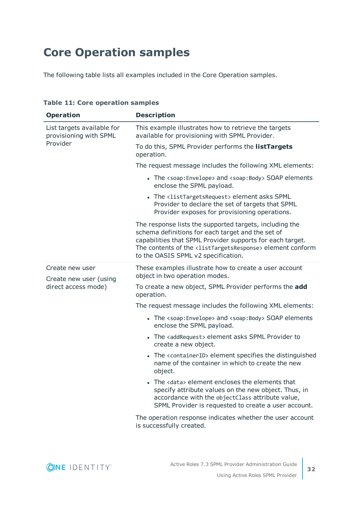## <span id="page-31-0"></span>**Core Operation samples**

The following table lists all examples included in the Core Operation samples.

| <b>Operation</b>                                     | <b>Description</b>                                                                                                                                                                                                                                                                                   |
|------------------------------------------------------|------------------------------------------------------------------------------------------------------------------------------------------------------------------------------------------------------------------------------------------------------------------------------------------------------|
| List targets available for<br>provisioning with SPML | This example illustrates how to retrieve the targets<br>available for provisioning with SPML Provider.                                                                                                                                                                                               |
| Provider                                             | To do this, SPML Provider performs the listTargets<br>operation.                                                                                                                                                                                                                                     |
|                                                      | The request message includes the following XML elements:                                                                                                                                                                                                                                             |
|                                                      | • The <soap: envelope=""> and <soap: body=""> SOAP elements<br/>enclose the SPML payload.</soap:></soap:>                                                                                                                                                                                            |
|                                                      | • The <listtargetsrequest> element asks SPML<br/>Provider to declare the set of targets that SPML<br/>Provider exposes for provisioning operations.</listtargetsrequest>                                                                                                                             |
|                                                      | The response lists the supported targets, including the<br>schema definitions for each target and the set of<br>capabilities that SPML Provider supports for each target.<br>The contents of the <listtargetsresponse> element conform<br/>to the OASIS SPML v2 specification.</listtargetsresponse> |
| Create new user<br>Create new user (using            | These examples illustrate how to create a user account<br>object in two operation modes.                                                                                                                                                                                                             |
| direct access mode)                                  | To create a new object, SPML Provider performs the add<br>operation.                                                                                                                                                                                                                                 |
|                                                      | The request message includes the following XML elements:                                                                                                                                                                                                                                             |
|                                                      | • The <soap: envelope=""> and <soap: body=""> SOAP elements<br/>enclose the SPML payload.</soap:></soap:>                                                                                                                                                                                            |
|                                                      | • The <addrequest> element asks SPML Provider to<br/>create a new object.</addrequest>                                                                                                                                                                                                               |
|                                                      | • The <containerid> element specifies the distinguished<br/>name of the container in which to create the new<br/>object.</containerid>                                                                                                                                                               |
|                                                      | The <data> element encloses the elements that<br/>specify attribute values on the new object. Thus, in<br/>accordance with the objectClass attribute value,<br/>SPML Provider is requested to create a user account.</data>                                                                          |
|                                                      | The operation response indicates whether the user account<br>is successfully created.                                                                                                                                                                                                                |

**Table 11: Core operation samples**

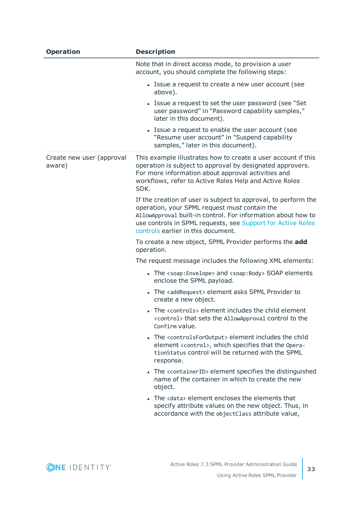| <b>Operation</b>                    | <b>Description</b>                                                                                                                                                                                                                                                                   |
|-------------------------------------|--------------------------------------------------------------------------------------------------------------------------------------------------------------------------------------------------------------------------------------------------------------------------------------|
|                                     | Note that in direct access mode, to provision a user<br>account, you should complete the following steps:                                                                                                                                                                            |
|                                     | • Issue a request to create a new user account (see<br>above).                                                                                                                                                                                                                       |
|                                     | • Issue a request to set the user password (see "Set"<br>user password" in "Password capability samples,"<br>later in this document).                                                                                                                                                |
|                                     | • Issue a request to enable the user account (see<br>"Resume user account" in "Suspend capability<br>samples," later in this document).                                                                                                                                              |
| Create new user (approval<br>aware) | This example illustrates how to create a user account if this<br>operation is subject to approval by designated approvers.<br>For more information about approval activities and<br>workflows, refer to Active Roles Help and Active Roles<br>SDK.                                   |
|                                     | If the creation of user is subject to approval, to perform the<br>operation, your SPML request must contain the<br>AllowApproval built-in control. For information about how to<br>use controls in SPML requests, see Support for Active Roles<br>controls earlier in this document. |
|                                     | To create a new object, SPML Provider performs the add<br>operation.                                                                                                                                                                                                                 |
|                                     | The request message includes the following XML elements:                                                                                                                                                                                                                             |
|                                     | • The <soap: envelope=""> and <soap: body=""> SOAP elements<br/>enclose the SPML payload.</soap:></soap:>                                                                                                                                                                            |
|                                     | • The <addrequest> element asks SPML Provider to<br/>create a new object.</addrequest>                                                                                                                                                                                               |
|                                     | • The <controls> element includes the child element<br/><control> that sets the AllowApproval control to the<br/>Confirm value.</control></controls>                                                                                                                                 |
|                                     | • The <controlsfor0utput> element includes the child<br/>element <control>, which specifies that the Opera-<br/>tionStatus control will be returned with the SPML<br/>response.</control></controlsfor0utput>                                                                        |
|                                     | • The <containerid> element specifies the distinguished<br/>name of the container in which to create the new<br/>object.</containerid>                                                                                                                                               |
|                                     | • The <data> element encloses the elements that<br/>specify attribute values on the new object. Thus, in<br/>accordance with the objectClass attribute value,</data>                                                                                                                 |

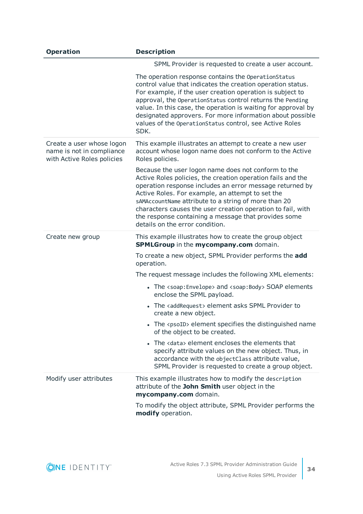| <b>Operation</b>                                                                     | <b>Description</b>                                                                                                                                                                                                                                                                                                                                                                                                                                   |
|--------------------------------------------------------------------------------------|------------------------------------------------------------------------------------------------------------------------------------------------------------------------------------------------------------------------------------------------------------------------------------------------------------------------------------------------------------------------------------------------------------------------------------------------------|
|                                                                                      | SPML Provider is requested to create a user account.                                                                                                                                                                                                                                                                                                                                                                                                 |
|                                                                                      | The operation response contains the OperationStatus<br>control value that indicates the creation operation status.<br>For example, if the user creation operation is subject to<br>approval, the OperationStatus control returns the Pending<br>value. In this case, the operation is waiting for approval by<br>designated approvers. For more information about possible<br>values of the OperationStatus control, see Active Roles<br>SDK.        |
| Create a user whose logon<br>name is not in compliance<br>with Active Roles policies | This example illustrates an attempt to create a new user<br>account whose logon name does not conform to the Active<br>Roles policies.                                                                                                                                                                                                                                                                                                               |
|                                                                                      | Because the user logon name does not conform to the<br>Active Roles policies, the creation operation fails and the<br>operation response includes an error message returned by<br>Active Roles. For example, an attempt to set the<br>sAMAccountName attribute to a string of more than 20<br>characters causes the user creation operation to fail, with<br>the response containing a message that provides some<br>details on the error condition. |
| Create new group                                                                     | This example illustrates how to create the group object<br>SPMLGroup in the mycompany.com domain.                                                                                                                                                                                                                                                                                                                                                    |
|                                                                                      | To create a new object, SPML Provider performs the add<br>operation.                                                                                                                                                                                                                                                                                                                                                                                 |
|                                                                                      | The request message includes the following XML elements:                                                                                                                                                                                                                                                                                                                                                                                             |
|                                                                                      | • The <soap: envelope=""> and <soap: body=""> SOAP elements<br/>enclose the SPML payload.</soap:></soap:>                                                                                                                                                                                                                                                                                                                                            |
|                                                                                      | The <addrequest> element asks SPML Provider to<br/>create a new object.</addrequest>                                                                                                                                                                                                                                                                                                                                                                 |
|                                                                                      | • The <psoid> element specifies the distinguished name<br/>of the object to be created.</psoid>                                                                                                                                                                                                                                                                                                                                                      |
|                                                                                      | • The <data> element encloses the elements that<br/>specify attribute values on the new object. Thus, in<br/>accordance with the objectClass attribute value,<br/>SPML Provider is requested to create a group object.</data>                                                                                                                                                                                                                        |
| Modify user attributes                                                               | This example illustrates how to modify the description<br>attribute of the John Smith user object in the<br>mycompany.com domain.                                                                                                                                                                                                                                                                                                                    |
|                                                                                      | To modify the object attribute, SPML Provider performs the<br>modify operation.                                                                                                                                                                                                                                                                                                                                                                      |

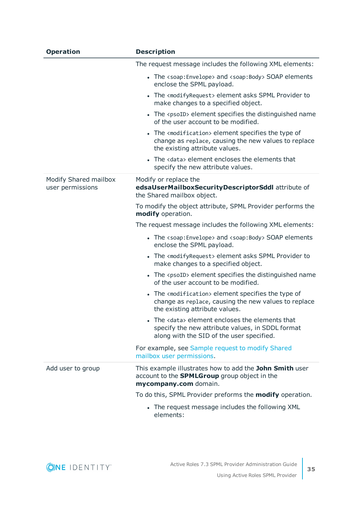| <b>Operation</b>                          | <b>Description</b>                                                                                                                                            |
|-------------------------------------------|---------------------------------------------------------------------------------------------------------------------------------------------------------------|
|                                           | The request message includes the following XML elements:                                                                                                      |
|                                           | • The <soap: envelope=""> and <soap: body=""> SOAP elements<br/>enclose the SPML payload.</soap:></soap:>                                                     |
|                                           | • The <modifyrequest> element asks SPML Provider to<br/>make changes to a specified object.</modifyrequest>                                                   |
|                                           | • The <psoid> element specifies the distinguished name<br/>of the user account to be modified.</psoid>                                                        |
|                                           | • The <modification> element specifies the type of<br/>change as replace, causing the new values to replace<br/>the existing attribute values.</modification> |
|                                           | • The <data> element encloses the elements that<br/>specify the new attribute values.</data>                                                                  |
| Modify Shared mailbox<br>user permissions | Modify or replace the<br>edsaUserMailboxSecurityDescriptorSddl attribute of<br>the Shared mailbox object.                                                     |
|                                           | To modify the object attribute, SPML Provider performs the<br>modify operation.                                                                               |
|                                           | The request message includes the following XML elements:                                                                                                      |
|                                           | • The <soap: envelope=""> and <soap: body=""> SOAP elements<br/>enclose the SPML payload.</soap:></soap:>                                                     |
|                                           | • The <modifyrequest> element asks SPML Provider to<br/>make changes to a specified object.</modifyrequest>                                                   |
|                                           | • The <psoid> element specifies the distinguished name<br/>of the user account to be modified.</psoid>                                                        |
|                                           | • The <modification> element specifies the type of<br/>change as replace, causing the new values to replace<br/>the existing attribute values.</modification> |
|                                           | The <data> element encloses the elements that<br/>specify the new attribute values, in SDDL format<br/>along with the SID of the user specified.</data>       |
|                                           | For example, see Sample request to modify Shared<br>mailbox user permissions.                                                                                 |
| Add user to group                         | This example illustrates how to add the John Smith user<br>account to the <b>SPMLGroup</b> group object in the<br>mycompany.com domain.                       |
|                                           | To do this, SPML Provider preforms the <b>modify</b> operation.                                                                                               |
|                                           | • The request message includes the following XML<br>elements:                                                                                                 |

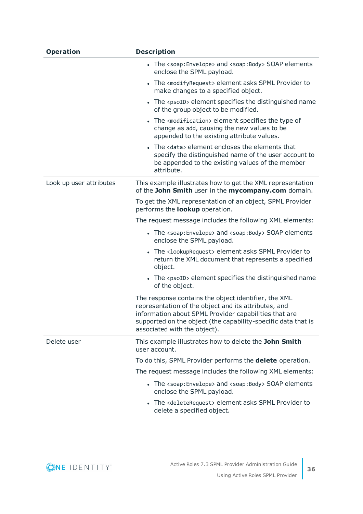| <b>Operation</b>        | <b>Description</b>                                                                                                                                                                                                                                                     |
|-------------------------|------------------------------------------------------------------------------------------------------------------------------------------------------------------------------------------------------------------------------------------------------------------------|
|                         | • The <soap: envelope=""> and <soap: body=""> SOAP elements<br/>enclose the SPML payload.</soap:></soap:>                                                                                                                                                              |
|                         | • The <modifyrequest> element asks SPML Provider to<br/>make changes to a specified object.</modifyrequest>                                                                                                                                                            |
|                         | • The <psoid> element specifies the distinguished name<br/>of the group object to be modified.</psoid>                                                                                                                                                                 |
|                         | • The <modification> element specifies the type of<br/>change as add, causing the new values to be<br/>appended to the existing attribute values.</modification>                                                                                                       |
|                         | • The <data> element encloses the elements that<br/>specify the distinguished name of the user account to<br/>be appended to the existing values of the member<br/>attribute.</data>                                                                                   |
| Look up user attributes | This example illustrates how to get the XML representation<br>of the John Smith user in the mycompany.com domain.                                                                                                                                                      |
|                         | To get the XML representation of an object, SPML Provider<br>performs the <b>lookup</b> operation.                                                                                                                                                                     |
|                         | The request message includes the following XML elements:                                                                                                                                                                                                               |
|                         | • The <soap: envelope=""> and <soap: body=""> SOAP elements<br/>enclose the SPML payload.</soap:></soap:>                                                                                                                                                              |
|                         | • The <lookuprequest> element asks SPML Provider to<br/>return the XML document that represents a specified<br/>object.</lookuprequest>                                                                                                                                |
|                         | • The <psoid> element specifies the distinguished name<br/>of the object.</psoid>                                                                                                                                                                                      |
|                         | The response contains the object identifier, the XML<br>representation of the object and its attributes, and<br>information about SPML Provider capabilities that are<br>supported on the object (the capability-specific data that is<br>associated with the object). |
| Delete user             | This example illustrates how to delete the John Smith<br>user account.                                                                                                                                                                                                 |
|                         | To do this, SPML Provider performs the <b>delete</b> operation.                                                                                                                                                                                                        |
|                         | The request message includes the following XML elements:                                                                                                                                                                                                               |
|                         | • The <soap: envelope=""> and <soap: body=""> SOAP elements<br/>enclose the SPML payload.</soap:></soap:>                                                                                                                                                              |
|                         | • The <deleterequest> element asks SPML Provider to<br/>delete a specified object.</deleterequest>                                                                                                                                                                     |

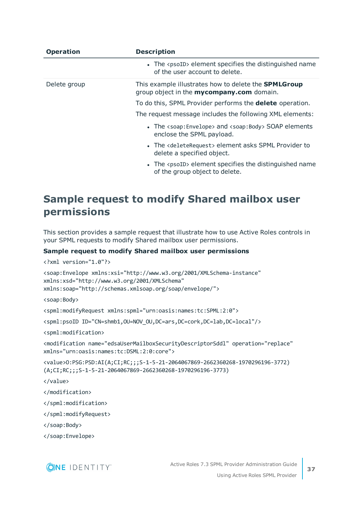| <b>Operation</b> | <b>Description</b>                                                                                              |  |
|------------------|-----------------------------------------------------------------------------------------------------------------|--|
|                  | • The <psoid> element specifies the distinguished name<br/>of the user account to delete.</psoid>               |  |
| Delete group     | This example illustrates how to delete the <b>SPMLGroup</b><br>group object in the <b>mycompany.com</b> domain. |  |
|                  | To do this, SPML Provider performs the <b>delete</b> operation.                                                 |  |
|                  | The request message includes the following XML elements:                                                        |  |
|                  | • The <soap: envelope=""> and <soap: body=""> SOAP elements<br/>enclose the SPML payload.</soap:></soap:>       |  |
|                  | • The <deleterequest> element asks SPML Provider to<br/>delete a specified object.</deleterequest>              |  |
|                  | • The <psoid> element specifies the distinguished name<br/>of the group object to delete.</psoid>               |  |

### <span id="page-36-0"></span>**Sample request to modify Shared mailbox user permissions**

This section provides a sample request that illustrate how to use Active Roles controls in your SPML requests to modify Shared mailbox user permissions.

#### **Sample request to modify Shared mailbox user permissions**

```
<?xml version="1.0"?>
<soap:Envelope xmlns:xsi="http://www.w3.org/2001/XMLSchema-instance"
xmlns:xsd="http://www.w3.org/2001/XMLSchema"
xmlns:soap="http://schemas.xmlsoap.org/soap/envelope/">
<soap:Body>
<spml:modifyRequest xmlns:spml="urn:oasis:names:tc:SPML:2:0">
<spml:psoID ID="CN=shmb1,OU=NOV_OU,DC=ars,DC=cork,DC=lab,DC=local"/>
<spml:modification>
<modification name="edsaUserMailboxSecurityDescriptorSddl" operation="replace"
xmlns="urn:oasis:names:tc:DSML:2:0:core">
<value>O:PSG:PSD:AI(A;CI;RC;;;S-1-5-21-2064067869-2662360268-1970296196-3772)
(A;CI;RC;;;S-1-5-21-2064067869-2662360268-1970296196-3773)
```
</value>

</modification>

</spml:modification>

</spml:modifyRequest>

</soap:Body>

</soap:Envelope>

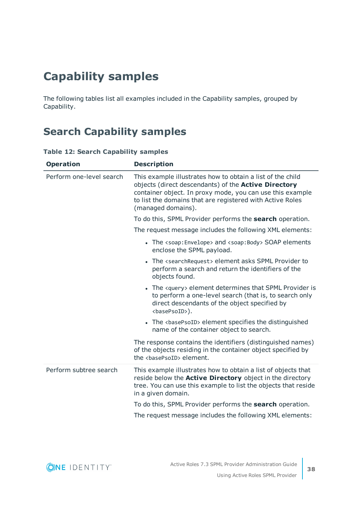## <span id="page-37-0"></span>**Capability samples**

The following tables list all examples included in the Capability samples, grouped by Capability.

### <span id="page-37-1"></span>**Search Capability samples**

| <b>Operation</b>         | <b>Description</b>                                                                                                                                                                                                                                                        |
|--------------------------|---------------------------------------------------------------------------------------------------------------------------------------------------------------------------------------------------------------------------------------------------------------------------|
| Perform one-level search | This example illustrates how to obtain a list of the child<br>objects (direct descendants) of the <b>Active Directory</b><br>container object. In proxy mode, you can use this example<br>to list the domains that are registered with Active Roles<br>(managed domains). |
|                          | To do this, SPML Provider performs the search operation.                                                                                                                                                                                                                  |
|                          | The request message includes the following XML elements:                                                                                                                                                                                                                  |
|                          | • The <soap: envelope=""> and <soap: body=""> SOAP elements<br/>enclose the SPML payload.</soap:></soap:>                                                                                                                                                                 |
|                          | • The <searchrequest> element asks SPML Provider to<br/>perform a search and return the identifiers of the<br/>objects found.</searchrequest>                                                                                                                             |
|                          | • The <query> element determines that SPML Provider is<br/>to perform a one-level search (that is, to search only<br/>direct descendants of the object specified by<br/><basepsoid>).</basepsoid></query>                                                                 |
|                          | • The <basepsoid> element specifies the distinguished<br/>name of the container object to search.</basepsoid>                                                                                                                                                             |
|                          | The response contains the identifiers (distinguished names)<br>of the objects residing in the container object specified by<br>the <basepsoid> element.</basepsoid>                                                                                                       |
| Perform subtree search   | This example illustrates how to obtain a list of objects that<br>reside below the <b>Active Directory</b> object in the directory<br>tree. You can use this example to list the objects that reside<br>in a given domain.                                                 |
|                          | To do this, SPML Provider performs the search operation.                                                                                                                                                                                                                  |
|                          | The request message includes the following XML elements:                                                                                                                                                                                                                  |

#### **Table 12: Search Capability samples**

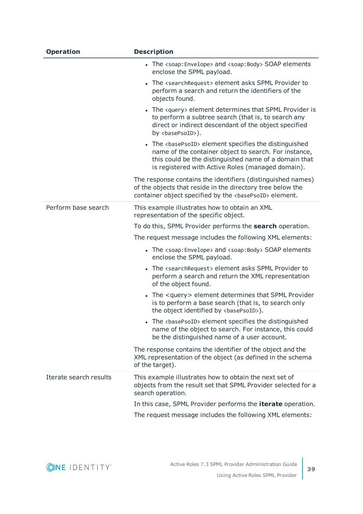| <b>Operation</b>       | <b>Description</b>                                                                                                                                                                                                                          |
|------------------------|---------------------------------------------------------------------------------------------------------------------------------------------------------------------------------------------------------------------------------------------|
|                        | • The <soap: envelope=""> and <soap: body=""> SOAP elements<br/>enclose the SPML payload.</soap:></soap:>                                                                                                                                   |
|                        | • The <searchrequest> element asks SPML Provider to<br/>perform a search and return the identifiers of the<br/>objects found.</searchrequest>                                                                                               |
|                        | • The <query> element determines that SPML Provider is<br/>to perform a subtree search (that is, to search any<br/>direct or indirect descendant of the object specified<br/>by <basepsoid>).</basepsoid></query>                           |
|                        | • The <basepsoid> element specifies the distinguished<br/>name of the container object to search. For instance,<br/>this could be the distinguished name of a domain that<br/>is registered with Active Roles (managed domain).</basepsoid> |
|                        | The response contains the identifiers (distinguished names)<br>of the objects that reside in the directory tree below the<br>container object specified by the <basepsoid> element.</basepsoid>                                             |
| Perform base search    | This example illustrates how to obtain an XML<br>representation of the specific object.                                                                                                                                                     |
|                        | To do this, SPML Provider performs the search operation.                                                                                                                                                                                    |
|                        | The request message includes the following XML elements:                                                                                                                                                                                    |
|                        | • The <soap: envelope=""> and <soap: body=""> SOAP elements<br/>enclose the SPML payload.</soap:></soap:>                                                                                                                                   |
|                        | • The <searchrequest> element asks SPML Provider to<br/>perform a search and return the XML representation<br/>of the object found.</searchrequest>                                                                                         |
|                        | • The <query> element determines that SPML Provider<br/>is to perform a base search (that is, to search only<br/>the object identified by <br/>basePsoID&gt;).</query>                                                                      |
|                        | The<br>basePsoID> element specifies the distinguished<br>name of the object to search. For instance, this could<br>be the distinguished name of a user account.                                                                             |
|                        | The response contains the identifier of the object and the<br>XML representation of the object (as defined in the schema<br>of the target).                                                                                                 |
| Iterate search results | This example illustrates how to obtain the next set of<br>objects from the result set that SPML Provider selected for a<br>search operation.                                                                                                |
|                        | In this case, SPML Provider performs the <i>iterate</i> operation.<br>The request message includes the following XML elements:                                                                                                              |

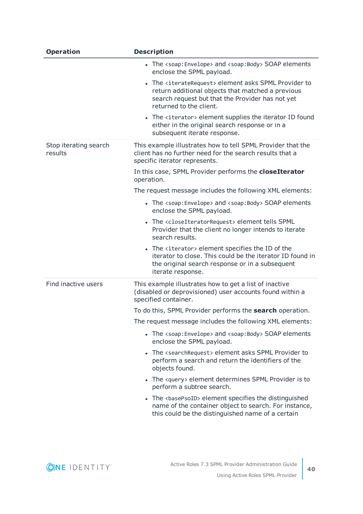| <b>Operation</b>                 | <b>Description</b>                                                                                                                                                                                         |
|----------------------------------|------------------------------------------------------------------------------------------------------------------------------------------------------------------------------------------------------------|
|                                  | • The <soap: envelope=""> and <soap: body=""> SOAP elements<br/>enclose the SPML payload.</soap:></soap:>                                                                                                  |
|                                  | The <iteraterequest> element asks SPML Provider to<br/>return additional objects that matched a previous<br/>search request but that the Provider has not yet<br/>returned to the client.</iteraterequest> |
|                                  | • The <iterator> element supplies the iterator ID found<br/>either in the original search response or in a<br/>subsequent iterate response.</iterator>                                                     |
| Stop iterating search<br>results | This example illustrates how to tell SPML Provider that the<br>client has no further need for the search results that a<br>specific iterator represents.                                                   |
|                                  | In this case, SPML Provider performs the closeIterator<br>operation.                                                                                                                                       |
|                                  | The request message includes the following XML elements:                                                                                                                                                   |
|                                  | • The <soap: envelope=""> and <soap: body=""> SOAP elements<br/>enclose the SPML payload.</soap:></soap:>                                                                                                  |
|                                  | The <closeiteratorrequest> element tells SPML<br/>Provider that the client no longer intends to iterate<br/>search results.</closeiteratorrequest>                                                         |
|                                  | • The <iterator> element specifies the ID of the<br/>iterator to close. This could be the iterator ID found in<br/>the original search response or in a subsequent<br/>iterate response.</iterator>        |
| Find inactive users              | This example illustrates how to get a list of inactive<br>(disabled or deprovisioned) user accounts found within a<br>specified container.                                                                 |
|                                  | To do this, SPML Provider performs the <b>search</b> operation.                                                                                                                                            |
|                                  | The request message includes the following XML elements:                                                                                                                                                   |
|                                  | • The <soap: envelope=""> and <soap: body=""> SOAP elements<br/>enclose the SPML payload.</soap:></soap:>                                                                                                  |
|                                  | • The <searchrequest> element asks SPML Provider to<br/>perform a search and return the identifiers of the<br/>objects found.</searchrequest>                                                              |
|                                  | • The <query> element determines SPML Provider is to<br/>perform a subtree search.</query>                                                                                                                 |
|                                  | • The <basepsoid> element specifies the distinguished<br/>name of the container object to search. For instance,<br/>this could be the distinguished name of a certain</basepsoid>                          |

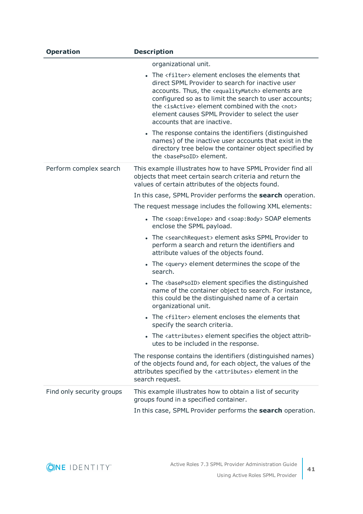| <b>Operation</b>          | <b>Description</b>                                                                                                                                                                                                                                                                                                                                                                                      |
|---------------------------|---------------------------------------------------------------------------------------------------------------------------------------------------------------------------------------------------------------------------------------------------------------------------------------------------------------------------------------------------------------------------------------------------------|
|                           | organizational unit.                                                                                                                                                                                                                                                                                                                                                                                    |
|                           | • The <filter> element encloses the elements that<br/>direct SPML Provider to search for inactive user<br/>accounts. Thus, the <equalitymatch> elements are<br/>configured so as to limit the search to user accounts;<br/>the <isactive> element combined with the <not><br/>element causes SPML Provider to select the user<br/>accounts that are inactive.</not></isactive></equalitymatch></filter> |
|                           | • The response contains the identifiers (distinguished<br>names) of the inactive user accounts that exist in the<br>directory tree below the container object specified by<br>the <basepsoid> element.</basepsoid>                                                                                                                                                                                      |
| Perform complex search    | This example illustrates how to have SPML Provider find all<br>objects that meet certain search criteria and return the<br>values of certain attributes of the objects found.                                                                                                                                                                                                                           |
|                           | In this case, SPML Provider performs the <b>search</b> operation.                                                                                                                                                                                                                                                                                                                                       |
|                           | The request message includes the following XML elements:                                                                                                                                                                                                                                                                                                                                                |
|                           | • The <soap: envelope=""> and <soap: body=""> SOAP elements<br/>enclose the SPML payload.</soap:></soap:>                                                                                                                                                                                                                                                                                               |
|                           | • The <searchrequest> element asks SPML Provider to<br/>perform a search and return the identifiers and<br/>attribute values of the objects found.</searchrequest>                                                                                                                                                                                                                                      |
|                           | • The <query> element determines the scope of the<br/>search.</query>                                                                                                                                                                                                                                                                                                                                   |
|                           | • The <basepsoid> element specifies the distinguished<br/>name of the container object to search. For instance,<br/>this could be the distinguished name of a certain<br/>organizational unit.</basepsoid>                                                                                                                                                                                              |
|                           | • The <filter> element encloses the elements that<br/>specify the search criteria.</filter>                                                                                                                                                                                                                                                                                                             |
|                           | • The <attributes> element specifies the object attrib-<br/>utes to be included in the response.</attributes>                                                                                                                                                                                                                                                                                           |
|                           | The response contains the identifiers (distinguished names)<br>of the objects found and, for each object, the values of the<br>attributes specified by the <attributes> element in the<br/>search request.</attributes>                                                                                                                                                                                 |
| Find only security groups | This example illustrates how to obtain a list of security<br>groups found in a specified container.                                                                                                                                                                                                                                                                                                     |
|                           | In this case, SPML Provider performs the <b>search</b> operation.                                                                                                                                                                                                                                                                                                                                       |

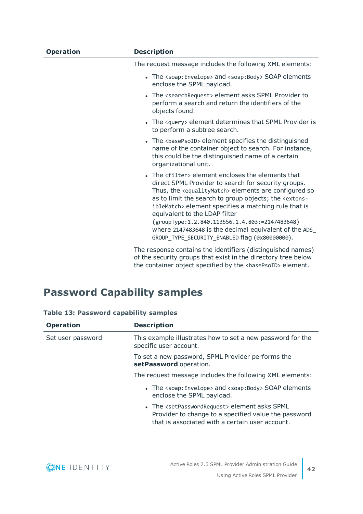| <b>Operation</b> | <b>Description</b>                                                                                                                                                                                                                                                                                                                                                                                                                                                                                                               |
|------------------|----------------------------------------------------------------------------------------------------------------------------------------------------------------------------------------------------------------------------------------------------------------------------------------------------------------------------------------------------------------------------------------------------------------------------------------------------------------------------------------------------------------------------------|
|                  | The request message includes the following XML elements:                                                                                                                                                                                                                                                                                                                                                                                                                                                                         |
|                  | • The <soap: envelope=""> and <soap: body=""> SOAP elements<br/>enclose the SPML payload.</soap:></soap:>                                                                                                                                                                                                                                                                                                                                                                                                                        |
|                  | • The <searchrequest> element asks SPML Provider to<br/>perform a search and return the identifiers of the<br/>objects found.</searchrequest>                                                                                                                                                                                                                                                                                                                                                                                    |
|                  | • The <query> element determines that SPML Provider is<br/>to perform a subtree search.</query>                                                                                                                                                                                                                                                                                                                                                                                                                                  |
|                  | • The <basepsoid> element specifies the distinguished<br/>name of the container object to search. For instance,<br/>this could be the distinguished name of a certain<br/>organizational unit.</basepsoid>                                                                                                                                                                                                                                                                                                                       |
|                  | • The <filter> element encloses the elements that<br/>direct SPML Provider to search for security groups.<br/>Thus, the <equalitymatch> elements are configured so<br/>as to limit the search to group objects; the <extens-<br>ibleMatch&gt; element specifies a matching rule that is<br/>equivalent to the LDAP filter<br/>(groupType:1.2.840.113556.1.4.803:=2147483648)<br/>where 2147483648 is the decimal equivalent of the ADS_<br/>GROUP_TYPE_SECURITY_ENABLED flag (0x80000000).</extens-<br></equalitymatch></filter> |
|                  | The response contains the identifiers (distinguished names)<br>of the security arouns that evist in the directory tree helow                                                                                                                                                                                                                                                                                                                                                                                                     |

of the security groups that exist in the directory tree below the container object specified by the <br/>basePsoID> element.

### <span id="page-41-0"></span>**Password Capability samples**

| <b>Table 13: Password capability samples</b> |  |
|----------------------------------------------|--|
|----------------------------------------------|--|

| <b>Operation</b>  | <b>Description</b>                                                                                                                                                             |
|-------------------|--------------------------------------------------------------------------------------------------------------------------------------------------------------------------------|
| Set user password | This example illustrates how to set a new password for the<br>specific user account.                                                                                           |
|                   | To set a new password, SPML Provider performs the<br>setPassword operation.                                                                                                    |
|                   | The request message includes the following XML elements:                                                                                                                       |
|                   | • The <soap: envelope=""> and <soap: body=""> SOAP elements<br/>enclose the SPML payload.</soap:></soap:>                                                                      |
|                   | • The <setpasswordrequest> element asks SPML<br/>Provider to change to a specified value the password<br/>that is associated with a certain user account.</setpasswordrequest> |

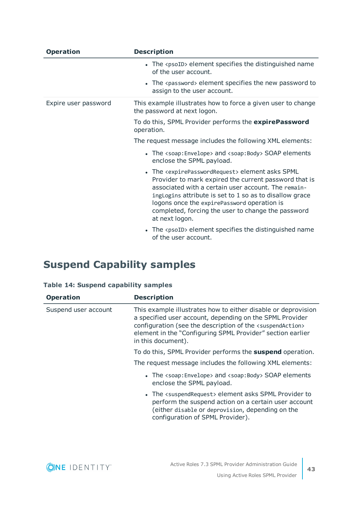| <b>Operation</b>     | <b>Description</b>                                                                                                                                                                                                                                                                                                                                                              |
|----------------------|---------------------------------------------------------------------------------------------------------------------------------------------------------------------------------------------------------------------------------------------------------------------------------------------------------------------------------------------------------------------------------|
|                      | • The <psoid> element specifies the distinguished name<br/>of the user account.</psoid>                                                                                                                                                                                                                                                                                         |
|                      | • The <password> element specifies the new password to<br/>assign to the user account.</password>                                                                                                                                                                                                                                                                               |
| Expire user password | This example illustrates how to force a given user to change<br>the password at next logon.                                                                                                                                                                                                                                                                                     |
|                      | To do this, SPML Provider performs the expirePassword<br>operation.                                                                                                                                                                                                                                                                                                             |
|                      | The request message includes the following XML elements:                                                                                                                                                                                                                                                                                                                        |
|                      | • The <soap: envelope=""> and <soap: body=""> SOAP elements<br/>enclose the SPML payload.</soap:></soap:>                                                                                                                                                                                                                                                                       |
|                      | • The <expirepasswordrequest> element asks SPML<br/>Provider to mark expired the current password that is<br/>associated with a certain user account. The remain-<br/>ingLogins attribute is set to 1 so as to disallow grace<br/>logons once the expirePassword operation is<br/>completed, forcing the user to change the password<br/>at next logon.</expirepasswordrequest> |
|                      | The <psoid> element specifies the distinguished name<br/>of the user account.</psoid>                                                                                                                                                                                                                                                                                           |

### <span id="page-42-0"></span>**Suspend Capability samples**

#### **Table 14: Suspend capability samples**

| <b>Operation</b>     | <b>Description</b>                                                                                                                                                                                                                                                                           |
|----------------------|----------------------------------------------------------------------------------------------------------------------------------------------------------------------------------------------------------------------------------------------------------------------------------------------|
| Suspend user account | This example illustrates how to either disable or deprovision<br>a specified user account, depending on the SPML Provider<br>configuration (see the description of the <suspendaction><br/>element in the "Configuring SPML Provider" section earlier<br/>in this document).</suspendaction> |
|                      | To do this, SPML Provider performs the <b>suspend</b> operation.                                                                                                                                                                                                                             |
|                      | The request message includes the following XML elements:                                                                                                                                                                                                                                     |
|                      | • The <soap: envelope=""> and <soap: body=""> SOAP elements<br/>enclose the SPML payload.</soap:></soap:>                                                                                                                                                                                    |
|                      | • The <suspendrequest> element asks SPML Provider to<br/>perform the suspend action on a certain user account<br/>(either disable or deprovision, depending on the<br/>configuration of SPML Provider).</suspendrequest>                                                                     |

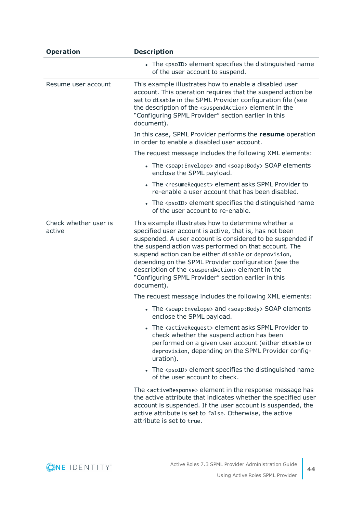| <b>Operation</b>                | <b>Description</b>                                                                                                                                                                                                                                                                                                                                                                                                                                                                                 |
|---------------------------------|----------------------------------------------------------------------------------------------------------------------------------------------------------------------------------------------------------------------------------------------------------------------------------------------------------------------------------------------------------------------------------------------------------------------------------------------------------------------------------------------------|
|                                 | • The <psoid> element specifies the distinguished name<br/>of the user account to suspend.</psoid>                                                                                                                                                                                                                                                                                                                                                                                                 |
| Resume user account             | This example illustrates how to enable a disabled user<br>account. This operation requires that the suspend action be<br>set to disable in the SPML Provider configuration file (see<br>the description of the <suspendaction> element in the<br/>"Configuring SPML Provider" section earlier in this<br/>document).</suspendaction>                                                                                                                                                               |
|                                 | In this case, SPML Provider performs the resume operation<br>in order to enable a disabled user account.                                                                                                                                                                                                                                                                                                                                                                                           |
|                                 | The request message includes the following XML elements:                                                                                                                                                                                                                                                                                                                                                                                                                                           |
|                                 | • The <soap: envelope=""> and <soap: body=""> SOAP elements<br/>enclose the SPML payload.</soap:></soap:>                                                                                                                                                                                                                                                                                                                                                                                          |
|                                 | • The <resumerequest> element asks SPML Provider to<br/>re-enable a user account that has been disabled.</resumerequest>                                                                                                                                                                                                                                                                                                                                                                           |
|                                 | • The <psoid> element specifies the distinguished name<br/>of the user account to re-enable.</psoid>                                                                                                                                                                                                                                                                                                                                                                                               |
| Check whether user is<br>active | This example illustrates how to determine whether a<br>specified user account is active, that is, has not been<br>suspended. A user account is considered to be suspended if<br>the suspend action was performed on that account. The<br>suspend action can be either disable or deprovision,<br>depending on the SPML Provider configuration (see the<br>description of the <suspendaction> element in the<br/>"Configuring SPML Provider" section earlier in this<br/>document).</suspendaction> |
|                                 | The request message includes the following XML elements:                                                                                                                                                                                                                                                                                                                                                                                                                                           |
|                                 | • The <soap: envelope=""> and <soap: body=""> SOAP elements<br/>enclose the SPML payload.</soap:></soap:>                                                                                                                                                                                                                                                                                                                                                                                          |
|                                 | • The <activerequest> element asks SPML Provider to<br/>check whether the suspend action has been<br/>performed on a given user account (either disable or<br/>deprovision, depending on the SPML Provider config-<br/>uration).</activerequest>                                                                                                                                                                                                                                                   |
|                                 | The $<$ psoID> element specifies the distinguished name<br>of the user account to check.                                                                                                                                                                                                                                                                                                                                                                                                           |
|                                 | The <activeresponse> element in the response message has<br/>the active attribute that indicates whether the specified user<br/>account is suspended. If the user account is suspended, the<br/>active attribute is set to false. Otherwise, the active<br/>attribute is set to true.</activeresponse>                                                                                                                                                                                             |

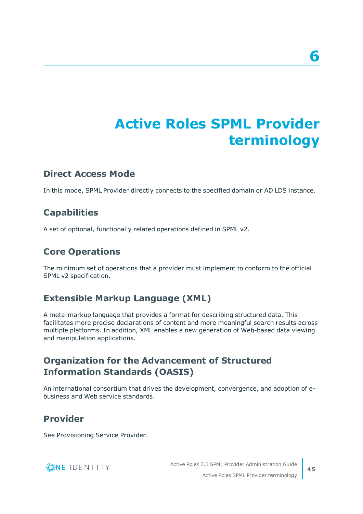# **Active Roles SPML Provider terminology**

#### <span id="page-44-0"></span>**Direct Access Mode**

In this mode, SPML Provider directly connects to the specified domain or AD LDS instance.

### **Capabilities**

A set of optional, functionally related operations defined in SPML v2.

### **Core Operations**

The minimum set of operations that a provider must implement to conform to the official SPML v2 specification.

### **Extensible Markup Language (XML)**

A meta-markup language that provides a format for describing structured data. This facilitates more precise declarations of content and more meaningful search results across multiple platforms. In addition, XML enables a new generation of Web-based data viewing and manipulation applications.

### **Organization for the Advancement of Structured Information Standards (OASIS)**

An international consortium that drives the development, convergence, and adoption of ebusiness and Web service standards.

### **Provider**

See Provisioning Service Provider.

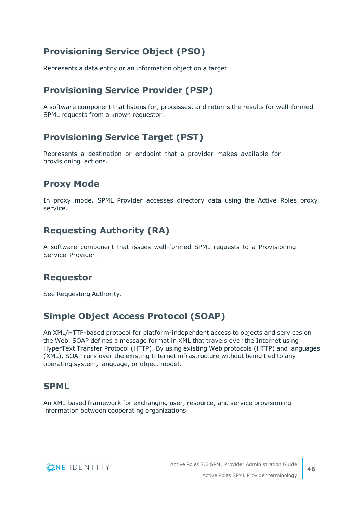### **Provisioning Service Object (PSO)**

Represents a data entity or an information object on a target.

### **Provisioning Service Provider (PSP)**

A software component that listens for, processes, and returns the results for well-formed SPML requests from a known requestor.

### **Provisioning Service Target (PST)**

Represents a destination or endpoint that a provider makes available for provisioning actions.

### **Proxy Mode**

In proxy mode, SPML Provider accesses directory data using the Active Roles proxy service.

### **Requesting Authority (RA)**

A software component that issues well-formed SPML requests to a Provisioning Service Provider.

#### **Requestor**

See Requesting Authority.

### **Simple Object Access Protocol (SOAP)**

An XML/HTTP-based protocol for platform-independent access to objects and services on the Web. SOAP defines a message format in XML that travels over the Internet using HyperText Transfer Protocol (HTTP). By using existing Web protocols (HTTP) and languages (XML), SOAP runs over the existing Internet infrastructure without being tied to any operating system, language, or object model.

#### **SPML**

An XML-based framework for exchanging user, resource, and service provisioning information between cooperating organizations.



**46**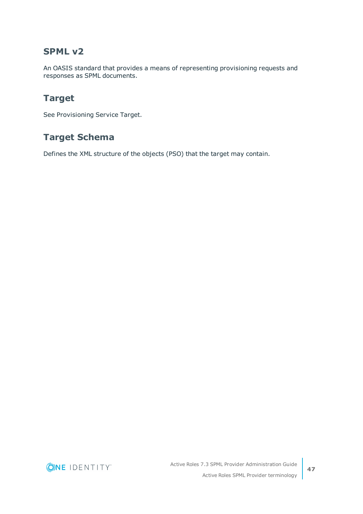#### **SPML v2**

An OASIS standard that provides a means of representing provisioning requests and responses as SPML documents.

### **Target**

See Provisioning Service Target.

### **Target Schema**

Defines the XML structure of the objects (PSO) that the target may contain.

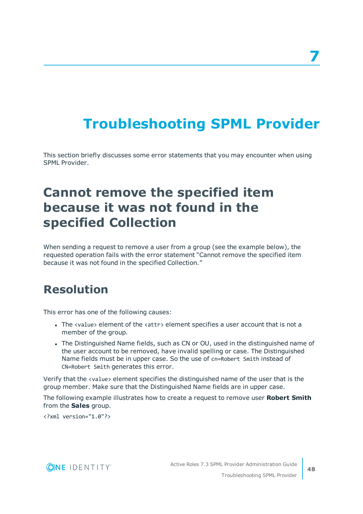# <span id="page-47-0"></span>**Troubleshooting SPML Provider**

This section briefly discusses some error statements that you may encounter when using SPML Provider.

## <span id="page-47-1"></span>**Cannot remove the specified item because it was not found in the specified Collection**

When sending a request to remove a user from a group (see the example below), the requested operation fails with the error statement "Cannot remove the specified item because it was not found in the specified Collection."

## <span id="page-47-2"></span>**Resolution**

This error has one of the following causes:

- The <value> element of the <attr> element specifies a user account that is not a member of the group.
- The Distinguished Name fields, such as CN or OU, used in the distinguished name of the user account to be removed, have invalid spelling or case. The Distinguished Name fields must be in upper case. So the use of cn=Robert Smith instead of CN=Robert Smith generates this error.

Verify that the <value> element specifies the distinguished name of the user that is the group member. Make sure that the Distinguished Name fields are in upper case.

The following example illustrates how to create a request to remove user **Robert Smith** from the **Sales** group.

<?xml version="1.0"?>

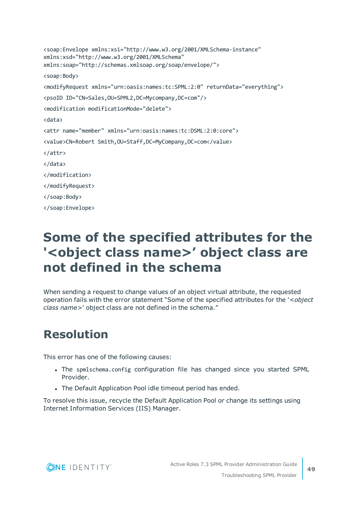```
<soap:Envelope xmlns:xsi="http://www.w3.org/2001/XMLSchema-instance"
xmlns:xsd="http://www.w3.org/2001/XMLSchema"
xmlns:soap="http://schemas.xmlsoap.org/soap/envelope/">
<soap:Body>
<modifyRequest xmlns="urn:oasis:names:tc:SPML:2:0" returnData="everything">
<psoID ID="CN=Sales,OU=SPML2,DC=Mycompany,DC=com"/>
<modification modificationMode="delete">
<data>
<attr name="member" xmlns="urn:oasis:names:tc:DSML:2:0:core">
<value>CN=Robert Smith,OU=Staff,DC=MyCompany,DC=com</value>
</attr>
</data>
</modification>
</modifyRequest>
</soap:Body>
</soap:Envelope>
```
## <span id="page-48-0"></span>**Some of the specified attributes for the '<object class name>' object class are not defined in the schema**

When sending a request to change values of an object virtual attribute, the requested operation fails with the error statement "Some of the specified attributes for the '*<object class name>*' object class are not defined in the schema."

## <span id="page-48-1"></span>**Resolution**

This error has one of the following causes:

- The spmlschema.config configuration file has changed since you started SPML Provider.
- The Default Application Pool idle timeout period has ended.

To resolve this issue, recycle the Default Application Pool or change its settings using Internet Information Services (IIS) Manager.

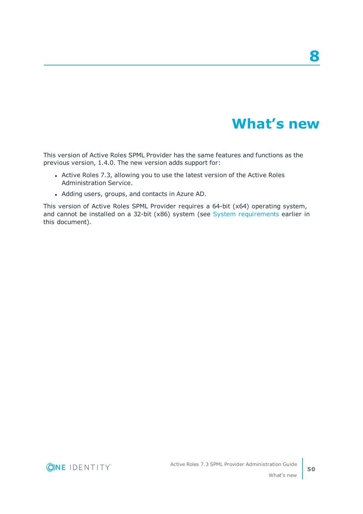## **What's new**

**8**

<span id="page-49-0"></span>This version of Active Roles SPML Provider has the same features and functions as the previous version, 1.4.0. The new version adds support for:

- Active Roles 7.3, allowing you to use the latest version of the Active Roles Administration Service.
- Adding users, groups, and contacts in Azure AD.

This version of Active Roles SPML Provider requires a 64-bit (x64) operating system, and cannot be installed on a 32-bit (x86) system (see System [requirements](#page-9-0) earlier in this document).



**50**